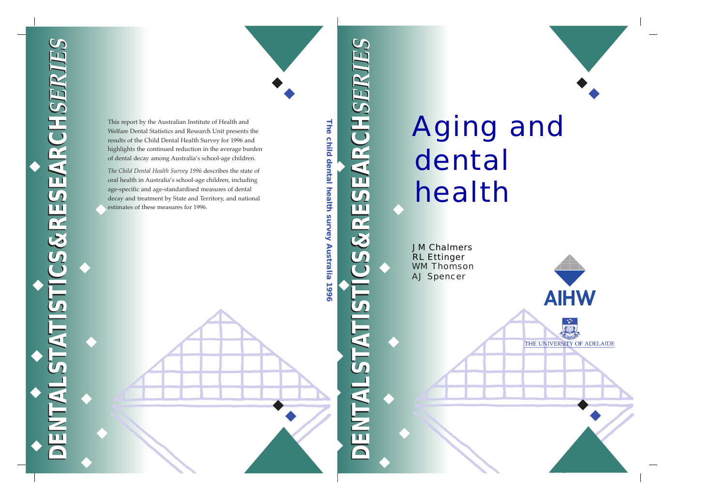# Aging and dental health

WM Thomson AJ Spencer RL Ettinger JM Chalmers

**AIHW** 

THE UNIVERSITY OF ADELAIDE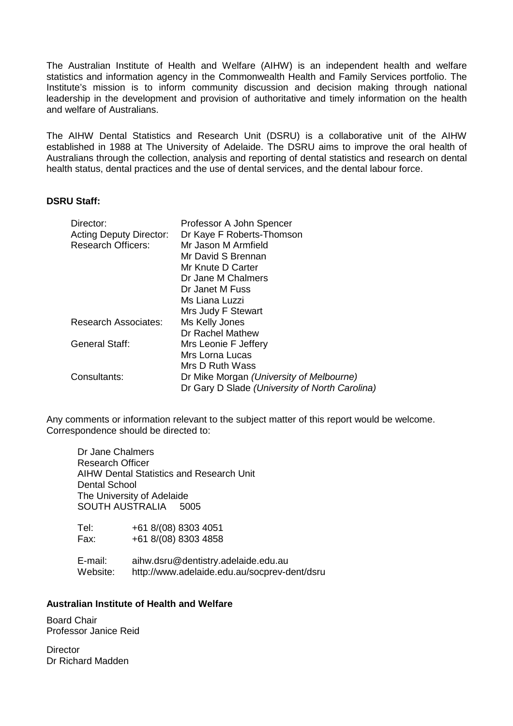The Australian Institute of Health and Welfare (AIHW) is an independent health and welfare statistics and information agency in the Commonwealth Health and Family Services portfolio. The Institute's mission is to inform community discussion and decision making through national leadership in the development and provision of authoritative and timely information on the health and welfare of Australians.

The AIHW Dental Statistics and Research Unit (DSRU) is a collaborative unit of the AIHW established in 1988 at The University of Adelaide. The DSRU aims to improve the oral health of Australians through the collection, analysis and reporting of dental statistics and research on dental health status, dental practices and the use of dental services, and the dental labour force.

#### **DSRU Staff:**

| Director:                                                   | Professor A John Spencer                         |
|-------------------------------------------------------------|--------------------------------------------------|
| <b>Acting Deputy Director:</b><br><b>Research Officers:</b> | Dr Kaye F Roberts-Thomson<br>Mr Jason M Armfield |
|                                                             |                                                  |
|                                                             | Mr David S Brennan                               |
|                                                             | Mr Knute D Carter                                |
|                                                             | Dr Jane M Chalmers                               |
|                                                             | Dr Janet M Fuss                                  |
|                                                             | Ms Liana Luzzi                                   |
|                                                             | Mrs Judy F Stewart                               |
| <b>Research Associates:</b>                                 | Ms Kelly Jones                                   |
|                                                             | Dr Rachel Mathew                                 |
| <b>General Staff:</b>                                       | Mrs Leonie F Jeffery                             |
|                                                             | Mrs Lorna Lucas                                  |
|                                                             | Mrs D Ruth Wass                                  |
| Consultants:                                                | Dr Mike Morgan (University of Melbourne)         |
|                                                             | Dr Gary D Slade (University of North Carolina)   |

Any comments or information relevant to the subject matter of this report would be welcome. Correspondence should be directed to:

Dr Jane Chalmers Research Officer AIHW Dental Statistics and Research Unit Dental School The University of Adelaide SOUTH AUSTRALIA 5005

Tel: +61 8/(08) 8303 4051 Fax: +61 8/(08) 8303 4858

E-mail: aihw.dsru@dentistry.adelaide.edu.au Website: http://www.adelaide.edu.au/socprev-dent/dsru

#### **Australian Institute of Health and Welfare**

Board Chair Professor Janice Reid

**Director** Dr Richard Madden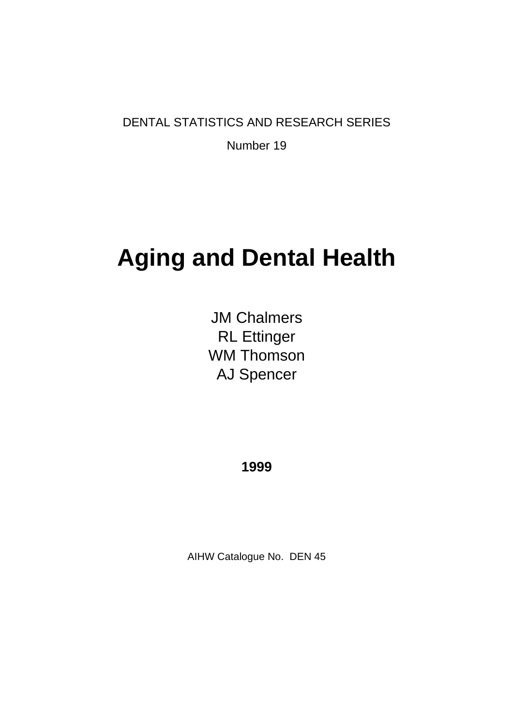DENTAL STATISTICS AND RESEARCH SERIES

Number 19

# **Aging and Dental Health**

JM Chalmers RL Ettinger WM Thomson AJ Spencer

**1999**

AIHW Catalogue No. DEN 45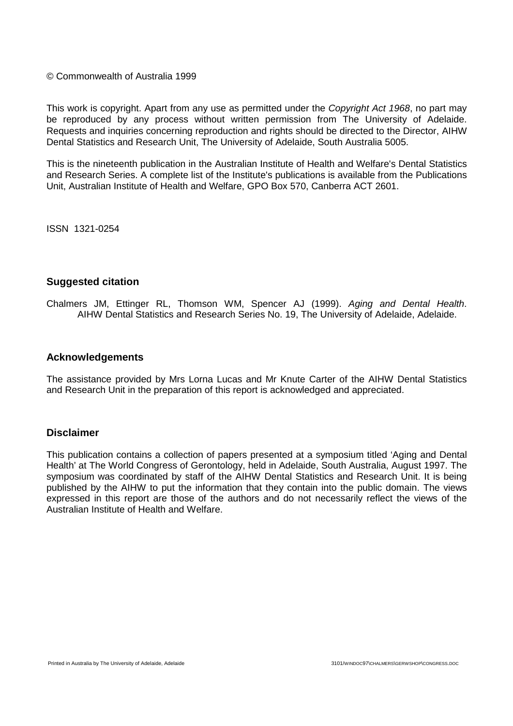#### © Commonwealth of Australia 1999

This work is copyright. Apart from any use as permitted under the *Copyright Act 1968*, no part may be reproduced by any process without written permission from The University of Adelaide. Requests and inquiries concerning reproduction and rights should be directed to the Director, AIHW Dental Statistics and Research Unit, The University of Adelaide, South Australia 5005.

This is the nineteenth publication in the Australian Institute of Health and Welfare's Dental Statistics and Research Series. A complete list of the Institute's publications is available from the Publications Unit, Australian Institute of Health and Welfare, GPO Box 570, Canberra ACT 2601.

ISSN 1321-0254

#### **Suggested citation**

Chalmers JM, Ettinger RL, Thomson WM, Spencer AJ (1999). *Aging and Dental Health*. AIHW Dental Statistics and Research Series No. 19, The University of Adelaide, Adelaide.

#### **Acknowledgements**

The assistance provided by Mrs Lorna Lucas and Mr Knute Carter of the AIHW Dental Statistics and Research Unit in the preparation of this report is acknowledged and appreciated.

#### **Disclaimer**

This publication contains a collection of papers presented at a symposium titled 'Aging and Dental Health' at The World Congress of Gerontology, held in Adelaide, South Australia, August 1997. The symposium was coordinated by staff of the AIHW Dental Statistics and Research Unit. It is being published by the AIHW to put the information that they contain into the public domain. The views expressed in this report are those of the authors and do not necessarily reflect the views of the Australian Institute of Health and Welfare.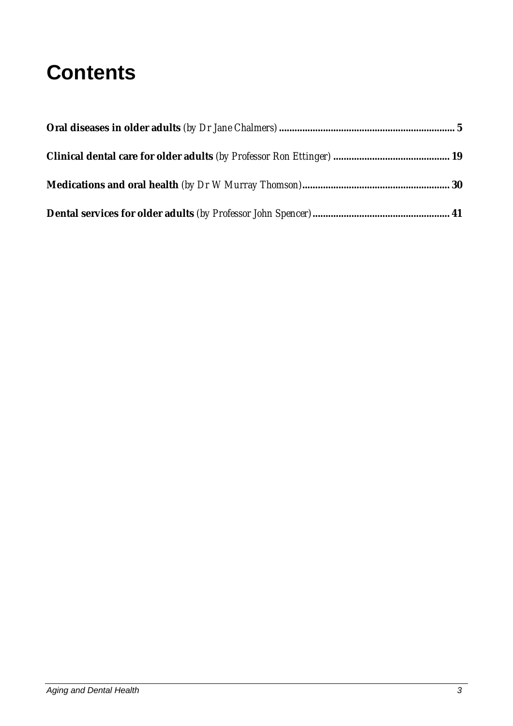# **Contents**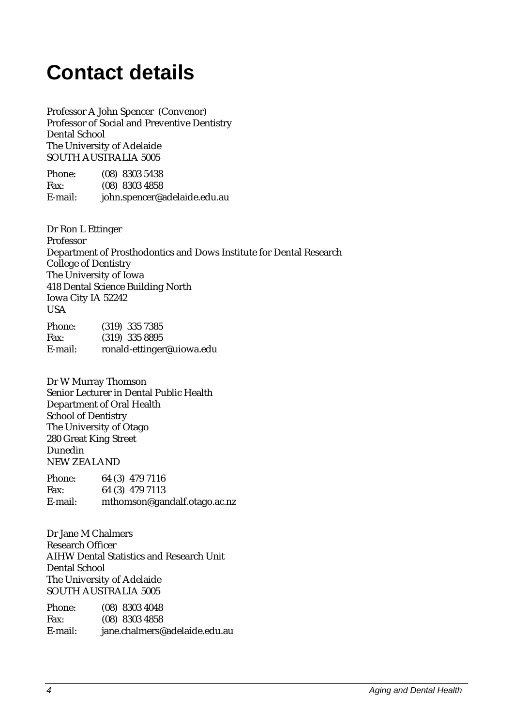# **Contact details**

Professor A John Spencer (Convenor) Professor of Social and Preventive Dentistry Dental School The University of Adelaide SOUTH AUSTRALIA 5005

| Phone:  | $(08)$ 8303 5438             |
|---------|------------------------------|
| Fax:    | $(08)$ 8303 4858             |
| E-mail: | john.spencer@adelaide.edu.au |

Dr Ron L Ettinger Professor Department of Prosthodontics and Dows Institute for Dental Research College of Dentistry The University of Iowa 418 Dental Science Building North Iowa City IA 52242 USA Phone: (319) 335 7385 Fax: (319) 335 8895

E-mail: ronald-ettinger@uiowa.edu

Dr W Murray Thomson Senior Lecturer in Dental Public Health Department of Oral Health School of Dentistry The University of Otago 280 Great King Street Dunedin NEW ZEALAND

| Phone:  | 64 (3) 479 7116              |
|---------|------------------------------|
| Fax:    | 64 (3) 479 7113              |
| E-mail: | mthomson@gandalf.otago.ac.nz |

Dr Jane M Chalmers Research Officer AIHW Dental Statistics and Research Unit Dental School The University of Adelaide SOUTH AUSTRALIA 5005

| Phone:  | $(08)$ 8303 4048              |
|---------|-------------------------------|
| Fax:    | $(08)$ 8303 4858              |
| E-mail: | jane.chalmers@adelaide.edu.au |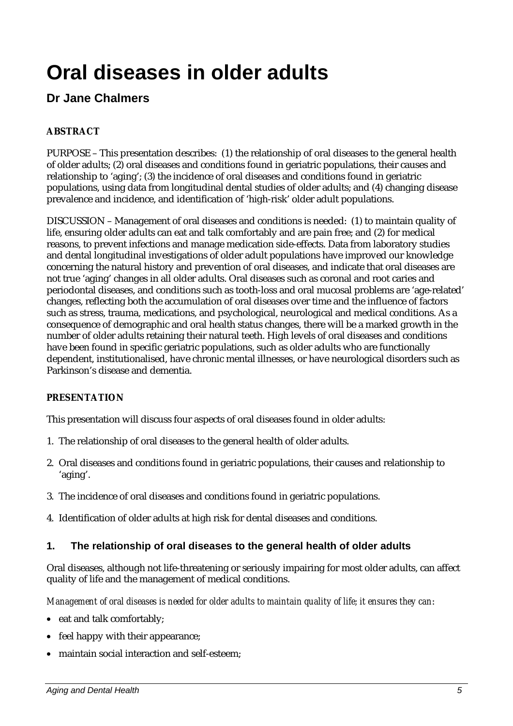# **Oral diseases in older adults**

# **Dr Jane Chalmers**

# **ABSTRACT**

PURPOSE – This presentation describes: (1) the relationship of oral diseases to the general health of older adults; (2) oral diseases and conditions found in geriatric populations, their causes and relationship to 'aging'; (3) the incidence of oral diseases and conditions found in geriatric populations, using data from longitudinal dental studies of older adults; and (4) changing disease prevalence and incidence, and identification of 'high-risk' older adult populations.

DISCUSSION – Management of oral diseases and conditions is needed: (1) to maintain quality of life, ensuring older adults can eat and talk comfortably and are pain free; and (2) for medical reasons, to prevent infections and manage medication side-effects. Data from laboratory studies and dental longitudinal investigations of older adult populations have improved our knowledge concerning the natural history and prevention of oral diseases, and indicate that oral diseases are not true 'aging' changes in all older adults. Oral diseases such as coronal and root caries and periodontal diseases, and conditions such as tooth-loss and oral mucosal problems are 'age-related' changes, reflecting both the accumulation of oral diseases over time and the influence of factors such as stress, trauma, medications, and psychological, neurological and medical conditions. As a consequence of demographic and oral health status changes, there will be a marked growth in the number of older adults retaining their natural teeth. High levels of oral diseases and conditions have been found in specific geriatric populations, such as older adults who are functionally dependent, institutionalised, have chronic mental illnesses, or have neurological disorders such as Parkinson's disease and dementia.

# **PRESENTATION**

This presentation will discuss four aspects of oral diseases found in older adults:

- 1. The relationship of oral diseases to the general health of older adults.
- 2. Oral diseases and conditions found in geriatric populations, their causes and relationship to 'aging'.
- 3. The incidence of oral diseases and conditions found in geriatric populations.
- 4. Identification of older adults at high risk for dental diseases and conditions.

#### **1. The relationship of oral diseases to the general health of older adults**

Oral diseases, although not life-threatening or seriously impairing for most older adults, can affect quality of life and the management of medical conditions.

*Management of oral diseases is needed for older adults to maintain quality of life; it ensures they can*:

- eat and talk comfortably;
- feel happy with their appearance;
- maintain social interaction and self-esteem;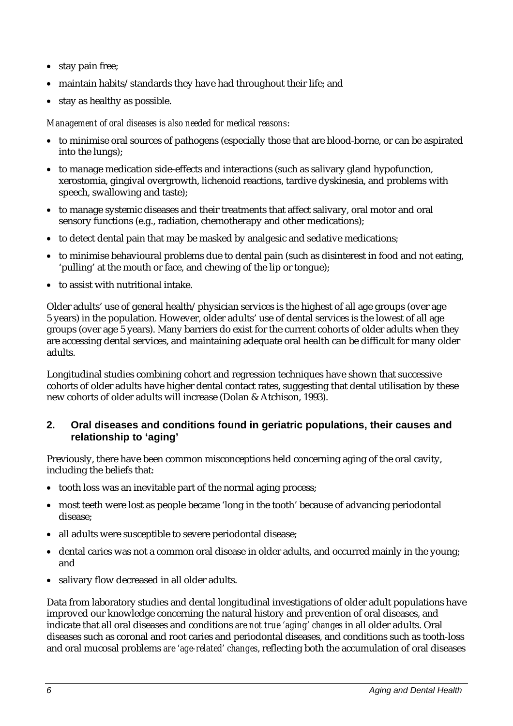- stay pain free;
- maintain habits/standards they have had throughout their life; and
- stay as healthy as possible.

#### *Management of oral diseases is also needed for medical reasons*:

- to minimise oral sources of pathogens (especially those that are blood-borne, or can be aspirated into the lungs);
- to manage medication side-effects and interactions (such as salivary gland hypofunction, xerostomia, gingival overgrowth, lichenoid reactions, tardive dyskinesia, and problems with speech, swallowing and taste);
- to manage systemic diseases and their treatments that affect salivary, oral motor and oral sensory functions (e.g., radiation, chemotherapy and other medications);
- to detect dental pain that may be masked by analgesic and sedative medications;
- to minimise behavioural problems due to dental pain (such as disinterest in food and not eating, 'pulling' at the mouth or face, and chewing of the lip or tongue);
- to assist with nutritional intake.

Older adults' use of general health/physician services is the highest of all age groups (over age 5 years) in the population. However, older adults' use of dental services is the lowest of all age groups (over age 5 years). Many barriers do exist for the current cohorts of older adults when they are accessing dental services, and maintaining adequate oral health can be difficult for many older adults.

Longitudinal studies combining cohort and regression techniques have shown that successive cohorts of older adults have higher dental contact rates, suggesting that dental utilisation by these new cohorts of older adults will increase (Dolan & Atchison, 1993).

## **2. Oral diseases and conditions found in geriatric populations, their causes and relationship to 'aging'**

Previously, there have been common misconceptions held concerning aging of the oral cavity, including the beliefs that:

- tooth loss was an inevitable part of the normal aging process;
- most teeth were lost as people became 'long in the tooth' because of advancing periodontal disease;
- all adults were susceptible to severe periodontal disease:
- dental caries was not a common oral disease in older adults, and occurred mainly in the young; and
- salivary flow decreased in all older adults.

Data from laboratory studies and dental longitudinal investigations of older adult populations have improved our knowledge concerning the natural history and prevention of oral diseases, and indicate that all oral diseases and conditions *are not true 'aging' changes* in all older adults. Oral diseases such as coronal and root caries and periodontal diseases, and conditions such as tooth-loss and oral mucosal problems *are 'age-related' changes*, reflecting both the accumulation of oral diseases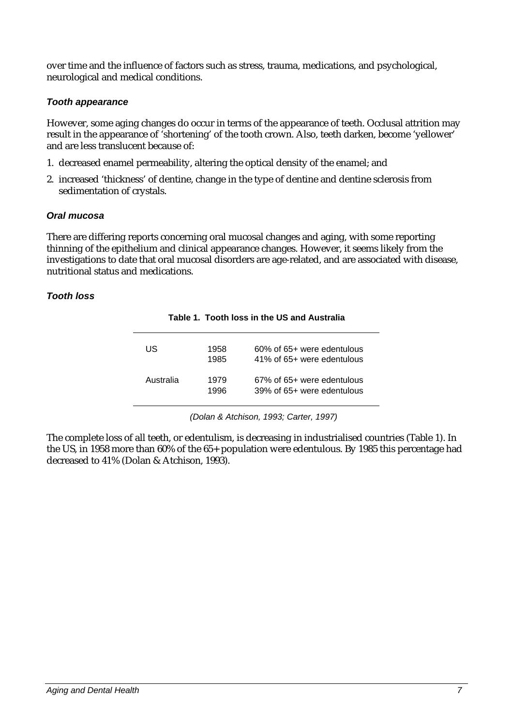over time and the influence of factors such as stress, trauma, medications, and psychological, neurological and medical conditions.

#### *Tooth appearance*

However, some aging changes do occur in terms of the appearance of teeth. Occlusal attrition may result in the appearance of 'shortening' of the tooth crown. Also, teeth darken, become 'yellower' and are less translucent because of:

- 1. decreased enamel permeability, altering the optical density of the enamel; and
- 2. increased 'thickness' of dentine, change in the type of dentine and dentine sclerosis from sedimentation of crystals.

#### *Oral mucosa*

There are differing reports concerning oral mucosal changes and aging, with some reporting thinning of the epithelium and clinical appearance changes. However, it seems likely from the investigations to date that oral mucosal disorders are age-related, and are associated with disease, nutritional status and medications.

#### *Tooth loss*

| US        | 1958<br>1985 | 60% of 65+ were edentulous<br>41% of 65+ were edentulous |
|-----------|--------------|----------------------------------------------------------|
| Australia | 1979<br>1996 | 67% of 65+ were edentulous<br>39% of 65+ were edentulous |

**Table 1. Tooth loss in the US and Australia**

*(Dolan & Atchison, 1993; Carter, 1997)*

The complete loss of all teeth, or edentulism, is decreasing in industrialised countries (Table 1). In the US, in 1958 more than 60% of the 65+ population were edentulous. By 1985 this percentage had decreased to 41% (Dolan & Atchison, 1993).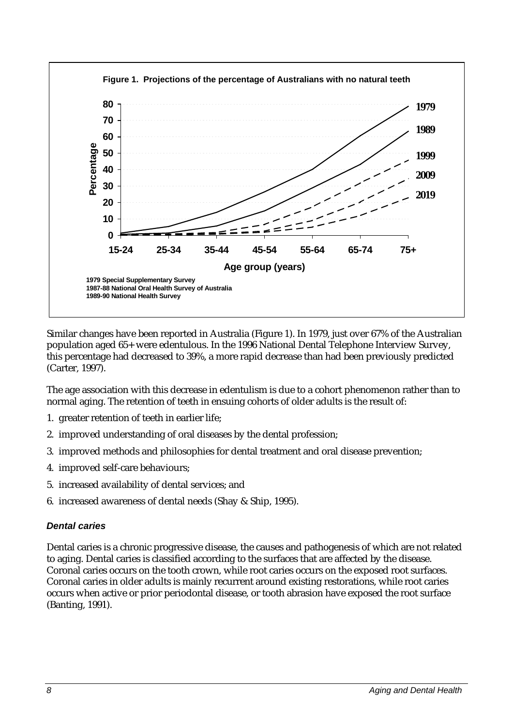

Similar changes have been reported in Australia (Figure 1). In 1979, just over 67% of the Australian population aged 65+ were edentulous. In the 1996 National Dental Telephone Interview Survey, this percentage had decreased to 39%, a more rapid decrease than had been previously predicted (Carter, 1997).

The age association with this decrease in edentulism is due to a cohort phenomenon rather than to normal aging. The retention of teeth in ensuing cohorts of older adults is the result of:

- 1. greater retention of teeth in earlier life;
- 2. improved understanding of oral diseases by the dental profession;
- 3. improved methods and philosophies for dental treatment and oral disease prevention;
- 4. improved self-care behaviours;
- 5. increased availability of dental services; and
- 6. increased awareness of dental needs (Shay & Ship, 1995).

#### *Dental caries*

Dental caries is a chronic progressive disease, the causes and pathogenesis of which are not related to aging. Dental caries is classified according to the surfaces that are affected by the disease. Coronal caries occurs on the tooth crown, while root caries occurs on the exposed root surfaces. Coronal caries in older adults is mainly recurrent around existing restorations, while root caries occurs when active or prior periodontal disease, or tooth abrasion have exposed the root surface (Banting, 1991).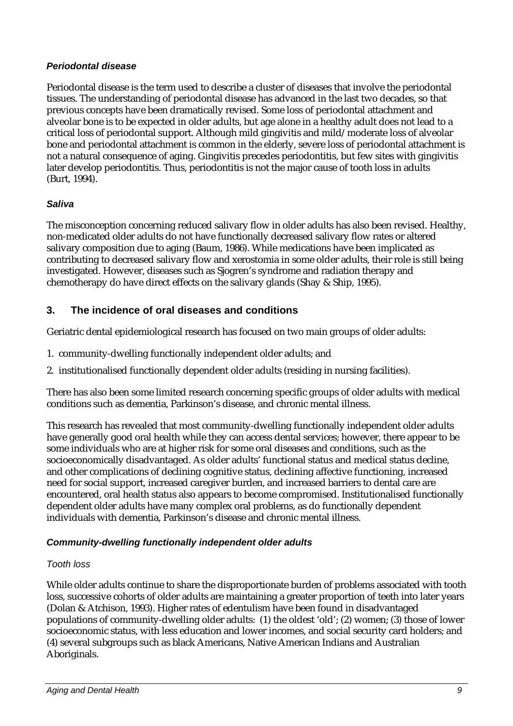#### *Periodontal disease*

Periodontal disease is the term used to describe a cluster of diseases that involve the periodontal tissues. The understanding of periodontal disease has advanced in the last two decades, so that previous concepts have been dramatically revised. Some loss of periodontal attachment and alveolar bone is to be expected in older adults, but age alone in a healthy adult does not lead to a critical loss of periodontal support. Although mild gingivitis and mild/moderate loss of alveolar bone and periodontal attachment is common in the elderly, severe loss of periodontal attachment is not a natural consequence of aging. Gingivitis precedes periodontitis, but few sites with gingivitis later develop periodontitis. Thus, periodontitis is not the major cause of tooth loss in adults (Burt, 1994).

#### *Saliva*

The misconception concerning reduced salivary flow in older adults has also been revised. Healthy, non-medicated older adults do not have functionally decreased salivary flow rates or altered salivary composition due to aging (Baum, 1986). While medications have been implicated as contributing to decreased salivary flow and xerostomia in some older adults, their role is still being investigated. However, diseases such as Sjogren's syndrome and radiation therapy and chemotherapy do have direct effects on the salivary glands (Shay & Ship, 1995).

# **3. The incidence of oral diseases and conditions**

Geriatric dental epidemiological research has focused on two main groups of older adults:

- 1. community-dwelling functionally independent older adults; and
- 2. institutionalised functionally dependent older adults (residing in nursing facilities).

There has also been some limited research concerning specific groups of older adults with medical conditions such as dementia, Parkinson's disease, and chronic mental illness.

This research has revealed that most community-dwelling functionally independent older adults have generally good oral health while they can access dental services; however, there appear to be some individuals who are at higher risk for some oral diseases and conditions, such as the socioeconomically disadvantaged. As older adults' functional status and medical status decline, and other complications of declining cognitive status, declining affective functioning, increased need for social support, increased caregiver burden, and increased barriers to dental care are encountered, oral health status also appears to become compromised. Institutionalised functionally dependent older adults have many complex oral problems, as do functionally dependent individuals with dementia, Parkinson's disease and chronic mental illness.

#### *Community-dwelling functionally independent older adults*

#### *Tooth loss*

While older adults continue to share the disproportionate burden of problems associated with tooth loss, successive cohorts of older adults are maintaining a greater proportion of teeth into later years (Dolan & Atchison, 1993). Higher rates of edentulism have been found in disadvantaged populations of community-dwelling older adults: (1) the oldest 'old'; (2) women; (3) those of lower socioeconomic status, with less education and lower incomes, and social security card holders; and (4) several subgroups such as black Americans, Native American Indians and Australian Aboriginals.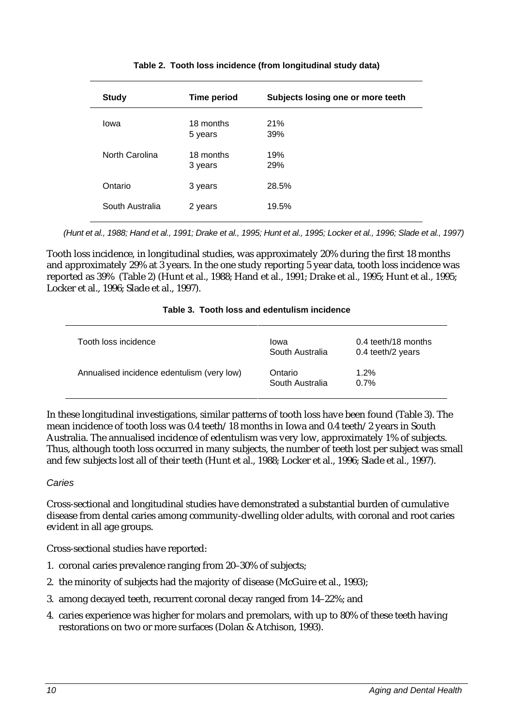| <b>Study</b>    | <b>Time period</b>   | Subjects losing one or more teeth |
|-----------------|----------------------|-----------------------------------|
| lowa            | 18 months<br>5 years | 21%<br>39%                        |
| North Carolina  | 18 months<br>3 years | 19%<br>29%                        |
| Ontario         | 3 years              | 28.5%                             |
| South Australia | 2 years              | 19.5%                             |

#### **Table 2. Tooth loss incidence (from longitudinal study data)**

*(Hunt et al., 1988; Hand et al., 1991; Drake et al., 1995; Hunt et al., 1995; Locker et al., 1996; Slade et al., 1997)*

Tooth loss incidence, in longitudinal studies, was approximately 20% during the first 18 months and approximately 29% at 3 years. In the one study reporting 5 year data, tooth loss incidence was reported as 39% (Table 2) (Hunt et al., 1988; Hand et al., 1991; Drake et al., 1995; Hunt et al., 1995; Locker et al., 1996; Slade et al., 1997).

#### **Table 3. Tooth loss and edentulism incidence**

| Tooth loss incidence                       | Iowa<br>South Australia    | 0.4 teeth/18 months<br>0.4 teeth/2 years |
|--------------------------------------------|----------------------------|------------------------------------------|
| Annualised incidence edentulism (very low) | Ontario<br>South Australia | 1.2%<br>0.7%                             |

In these longitudinal investigations, similar patterns of tooth loss have been found (Table 3). The mean incidence of tooth loss was 0.4 teeth/18 months in Iowa and 0.4 teeth/2 years in South Australia. The annualised incidence of edentulism was very low, approximately 1% of subjects. Thus, although tooth loss occurred in many subjects, the number of teeth lost per subject was small and few subjects lost all of their teeth (Hunt et al., 1988; Locker et al., 1996; Slade et al., 1997).

#### *Caries*

Cross-sectional and longitudinal studies have demonstrated a substantial burden of cumulative disease from dental caries among community-dwelling older adults, with coronal and root caries evident in all age groups.

Cross-sectional studies have reported:

- 1. coronal caries prevalence ranging from 20–30% of subjects;
- 2. the minority of subjects had the majority of disease (McGuire et al., 1993);
- 3. among decayed teeth, recurrent coronal decay ranged from 14–22%; and
- 4. caries experience was higher for molars and premolars, with up to 80% of these teeth having restorations on two or more surfaces (Dolan & Atchison, 1993).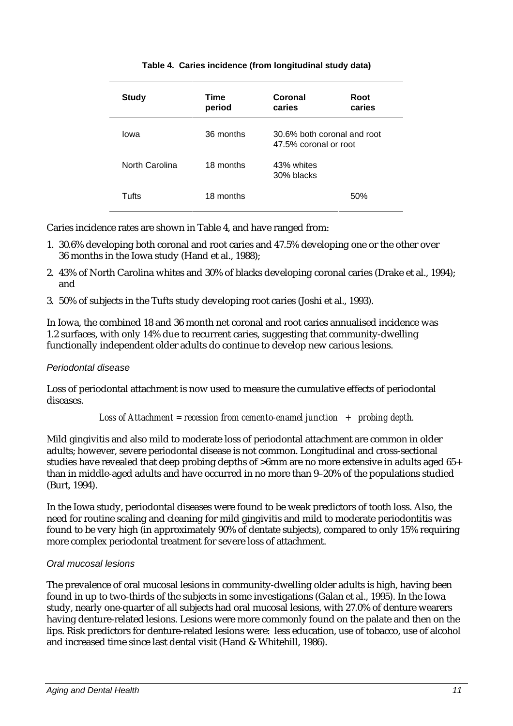| <b>Study</b>   | Time<br>period | Coronal<br>caries                                    | Root<br>caries |
|----------------|----------------|------------------------------------------------------|----------------|
| lowa           | 36 months      | 30.6% both coronal and root<br>47.5% coronal or root |                |
| North Carolina | 18 months      | 43% whites<br>30% blacks                             |                |
| Tufts          | 18 months      |                                                      | 50%            |

#### **Table 4. Caries incidence (from longitudinal study data)**

Caries incidence rates are shown in Table 4, and have ranged from:

- 1. 30.6% developing both coronal and root caries and 47.5% developing one or the other over 36 months in the Iowa study (Hand et al., 1988);
- 2. 43% of North Carolina whites and 30% of blacks developing coronal caries (Drake et al., 1994); and
- 3. 50% of subjects in the Tufts study developing root caries (Joshi et al., 1993).

In Iowa, the combined 18 and 36 month net coronal and root caries annualised incidence was 1.2 surfaces, with only 14% due to recurrent caries, suggesting that community-dwelling functionally independent older adults do continue to develop new carious lesions.

#### *Periodontal disease*

Loss of periodontal attachment is now used to measure the cumulative effects of periodontal diseases.

*Loss of Attachment = recession from cemento-enamel junction + probing depth.*

Mild gingivitis and also mild to moderate loss of periodontal attachment are common in older adults; however, severe periodontal disease is not common. Longitudinal and cross-sectional studies have revealed that deep probing depths of >6mm are no more extensive in adults aged 65+ than in middle-aged adults and have occurred in no more than 9–20% of the populations studied (Burt, 1994).

In the Iowa study, periodontal diseases were found to be weak predictors of tooth loss. Also, the need for routine scaling and cleaning for mild gingivitis and mild to moderate periodontitis was found to be very high (in approximately 90% of dentate subjects), compared to only 15% requiring more complex periodontal treatment for severe loss of attachment.

#### *Oral mucosal lesions*

The prevalence of oral mucosal lesions in community-dwelling older adults is high, having been found in up to two-thirds of the subjects in some investigations (Galan et al., 1995). In the Iowa study, nearly one-quarter of all subjects had oral mucosal lesions, with 27.0% of denture wearers having denture-related lesions. Lesions were more commonly found on the palate and then on the lips. Risk predictors for denture-related lesions were: less education, use of tobacco, use of alcohol and increased time since last dental visit (Hand & Whitehill, 1986).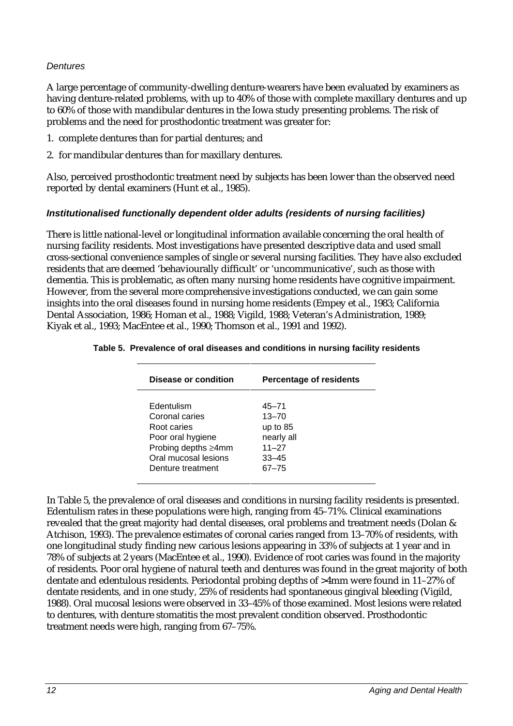#### *Dentures*

A large percentage of community-dwelling denture-wearers have been evaluated by examiners as having denture-related problems, with up to 40% of those with complete maxillary dentures and up to 60% of those with mandibular dentures in the Iowa study presenting problems. The risk of problems and the need for prosthodontic treatment was greater for:

- 1. complete dentures than for partial dentures; and
- 2. for mandibular dentures than for maxillary dentures.

Also, perceived prosthodontic treatment need by subjects has been lower than the observed need reported by dental examiners (Hunt et al., 1985).

#### *Institutionalised functionally dependent older adults (residents of nursing facilities)*

There is little national-level or longitudinal information available concerning the oral health of nursing facility residents. Most investigations have presented descriptive data and used small cross-sectional convenience samples of single or several nursing facilities. They have also excluded residents that are deemed 'behaviourally difficult' or 'uncommunicative', such as those with dementia. This is problematic, as often many nursing home residents have cognitive impairment. However, from the several more comprehensive investigations conducted, we can gain some insights into the oral diseases found in nursing home residents (Empey et al., 1983; California Dental Association, 1986; Homan et al., 1988; Vigild, 1988; Veteran's Administration, 1989; Kiyak et al., 1993; MacEntee et al., 1990; Thomson et al., 1991 and 1992).

| Disease or condition | Percentage of residents |
|----------------------|-------------------------|
| Edentulism           | $45 - 71$               |
| Coronal caries       | $13 - 70$               |
| Root caries          | up to $85$              |
| Poor oral hygiene    | nearly all              |
| Probing depths ≥4mm  | $11 - 27$               |
| Oral mucosal lesions | $33 - 45$               |
| Denture treatment    | $67 - 75$               |

|  |  |  |  |  | Table 5. Prevalence of oral diseases and conditions in nursing facility residents |
|--|--|--|--|--|-----------------------------------------------------------------------------------|
|--|--|--|--|--|-----------------------------------------------------------------------------------|

In Table 5, the prevalence of oral diseases and conditions in nursing facility residents is presented. Edentulism rates in these populations were high, ranging from 45–71%. Clinical examinations revealed that the great majority had dental diseases, oral problems and treatment needs (Dolan & Atchison, 1993). The prevalence estimates of coronal caries ranged from 13–70% of residents, with one longitudinal study finding new carious lesions appearing in 33% of subjects at 1 year and in 78% of subjects at 2 years (MacEntee et al., 1990). Evidence of root caries was found in the majority of residents. Poor oral hygiene of natural teeth and dentures was found in the great majority of both dentate and edentulous residents. Periodontal probing depths of >4mm were found in 11–27% of dentate residents, and in one study, 25% of residents had spontaneous gingival bleeding (Vigild, 1988). Oral mucosal lesions were observed in 33–45% of those examined. Most lesions were related to dentures, with denture stomatitis the most prevalent condition observed. Prosthodontic treatment needs were high, ranging from 67–75%.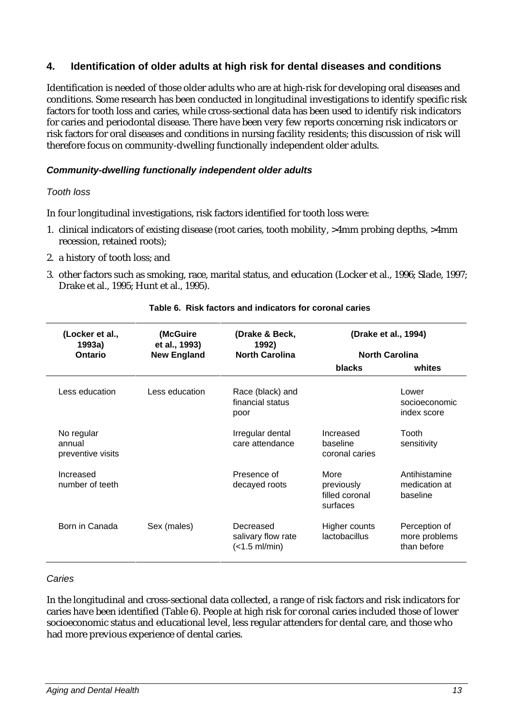# **4. Identification of older adults at high risk for dental diseases and conditions**

Identification is needed of those older adults who are at high-risk for developing oral diseases and conditions. Some research has been conducted in longitudinal investigations to identify specific risk factors for tooth loss and caries, while cross-sectional data has been used to identify risk indicators for caries and periodontal disease. There have been very few reports concerning risk indicators or risk factors for oral diseases and conditions in nursing facility residents; this discussion of risk will therefore focus on community-dwelling functionally independent older adults.

#### *Community-dwelling functionally independent older adults*

#### *Tooth loss*

In four longitudinal investigations, risk factors identified for tooth loss were:

- 1. clinical indicators of existing disease (root caries, tooth mobility, >4mm probing depths, >4mm recession, retained roots);
- 2. a history of tooth loss; and
- 3. other factors such as smoking, race, marital status, and education (Locker et al., 1996; Slade, 1997; Drake et al., 1995; Hunt et al., 1995).

| (Locker et al.,<br>1993a)<br>Ontario      | (McGuire<br>et al., 1993)<br><b>New England</b> | (Drake & Beck,<br>1992)<br><b>North Carolina</b> | (Drake et al., 1994)<br><b>North Carolina</b>    |                                               |
|-------------------------------------------|-------------------------------------------------|--------------------------------------------------|--------------------------------------------------|-----------------------------------------------|
|                                           |                                                 |                                                  | <b>blacks</b>                                    | whites                                        |
| Less education                            | Less education                                  | Race (black) and<br>financial status<br>poor     |                                                  | Lower<br>socioeconomic<br>index score         |
| No regular<br>annual<br>preventive visits |                                                 | Irregular dental<br>care attendance              | Increased<br>baseline<br>coronal caries          | Tooth<br>sensitivity                          |
| Increased<br>number of teeth              |                                                 | Presence of<br>decayed roots                     | More<br>previously<br>filled coronal<br>surfaces | Antihistamine<br>medication at<br>baseline    |
| Born in Canada                            | Sex (males)                                     | Decreased<br>salivary flow rate<br>(<1.5 ml/min) | Higher counts<br><b>lactobacillus</b>            | Perception of<br>more problems<br>than before |

#### **Table 6. Risk factors and indicators for coronal caries**

#### *Caries*

In the longitudinal and cross-sectional data collected, a range of risk factors and risk indicators for caries have been identified (Table 6). People at high risk for coronal caries included those of lower socioeconomic status and educational level, less regular attenders for dental care, and those who had more previous experience of dental caries.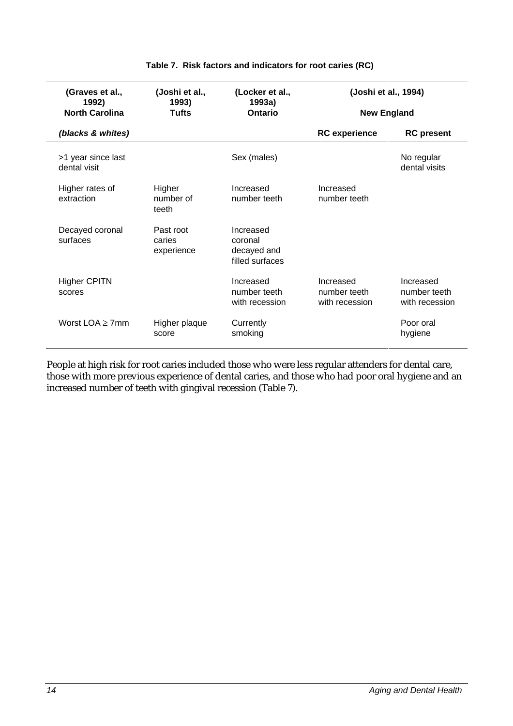| (Graves et al.,<br>1992)<br><b>North Carolina</b> | (Joshi et al.,<br>1993)<br><b>Tufts</b> | (Locker et al.,<br>1993a)<br>Ontario                   | (Joshi et al., 1994)<br><b>New England</b>  |                                             |
|---------------------------------------------------|-----------------------------------------|--------------------------------------------------------|---------------------------------------------|---------------------------------------------|
| (blacks & whites)                                 |                                         |                                                        | <b>RC</b> experience                        | <b>RC</b> present                           |
| >1 year since last<br>dental visit                |                                         | Sex (males)                                            |                                             | No regular<br>dental visits                 |
| Higher rates of<br>extraction                     | Higher<br>number of<br>teeth            | Increased<br>number teeth                              | Increased<br>number teeth                   |                                             |
| Decayed coronal<br>surfaces                       | Past root<br>caries<br>experience       | Increased<br>coronal<br>decayed and<br>filled surfaces |                                             |                                             |
| <b>Higher CPITN</b><br>scores                     |                                         | Increased<br>number teeth<br>with recession            | Increased<br>number teeth<br>with recession | Increased<br>number teeth<br>with recession |
| Worst $LOA > 7$ mm                                | Higher plaque<br>score                  | Currently<br>smoking                                   |                                             | Poor oral<br>hygiene                        |

#### **Table 7. Risk factors and indicators for root caries (RC)**

People at high risk for root caries included those who were less regular attenders for dental care, those with more previous experience of dental caries, and those who had poor oral hygiene and an increased number of teeth with gingival recession (Table 7).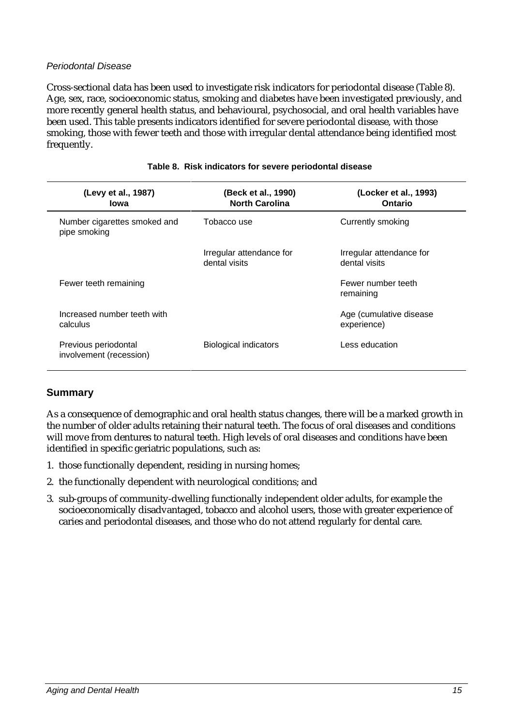#### *Periodontal Disease*

Cross-sectional data has been used to investigate risk indicators for periodontal disease (Table 8). Age, sex, race, socioeconomic status, smoking and diabetes have been investigated previously, and more recently general health status, and behavioural, psychosocial, and oral health variables have been used. This table presents indicators identified for severe periodontal disease, with those smoking, those with fewer teeth and those with irregular dental attendance being identified most frequently.

| (Levy et al., 1987)<br>lowa                     | (Beck et al., 1990)<br><b>North Carolina</b> | (Locker et al., 1993)<br>Ontario          |
|-------------------------------------------------|----------------------------------------------|-------------------------------------------|
| Number cigarettes smoked and<br>pipe smoking    | Tobacco use                                  | Currently smoking                         |
|                                                 | Irregular attendance for<br>dental visits    | Irregular attendance for<br>dental visits |
| Fewer teeth remaining                           |                                              | Fewer number teeth<br>remaining           |
| Increased number teeth with<br>calculus         |                                              | Age (cumulative disease<br>experience)    |
| Previous periodontal<br>involvement (recession) | Biological indicators                        | Less education                            |
|                                                 |                                              |                                           |

#### **Table 8. Risk indicators for severe periodontal disease**

#### **Summary**

As a consequence of demographic and oral health status changes, there will be a marked growth in the number of older adults retaining their natural teeth. The focus of oral diseases and conditions will move from dentures to natural teeth. High levels of oral diseases and conditions have been identified in specific geriatric populations, such as:

- 1. those functionally dependent, residing in nursing homes;
- 2. the functionally dependent with neurological conditions; and
- 3. sub-groups of community-dwelling functionally independent older adults, for example the socioeconomically disadvantaged, tobacco and alcohol users, those with greater experience of caries and periodontal diseases, and those who do not attend regularly for dental care.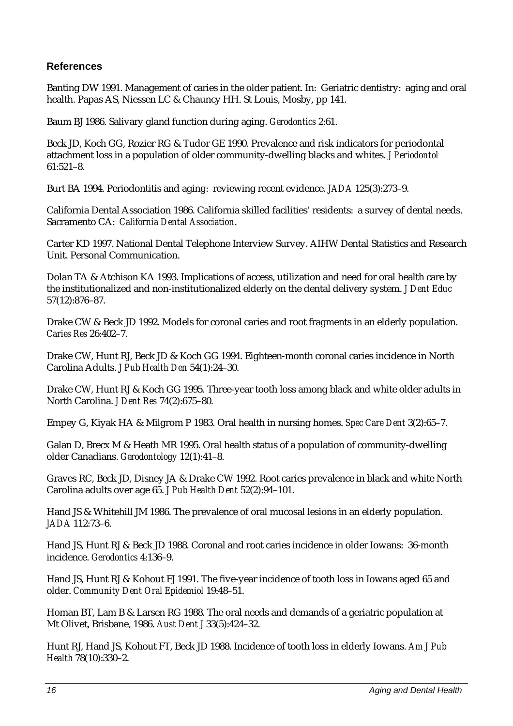# **References**

Banting DW 1991. Management of caries in the older patient. In: Geriatric dentistry: aging and oral health. Papas AS, Niessen LC & Chauncy HH. St Louis, Mosby, pp 141.

Baum BJ 1986. Salivary gland function during aging. *Gerodontics* 2:61.

Beck JD, Koch GG, Rozier RG & Tudor GE 1990. Prevalence and risk indicators for periodontal attachment loss in a population of older community-dwelling blacks and whites. *J Periodontol* 61:521–8.

Burt BA 1994. Periodontitis and aging: reviewing recent evidence. *JADA* 125(3):273–9.

California Dental Association 1986. California skilled facilities' residents: a survey of dental needs. Sacramento CA: *California Dental Association*.

Carter KD 1997. National Dental Telephone Interview Survey. AIHW Dental Statistics and Research Unit. Personal Communication.

Dolan TA & Atchison KA 1993. Implications of access, utilization and need for oral health care by the institutionalized and non-institutionalized elderly on the dental delivery system. *J Dent Educ* 57(12):876–87.

Drake CW & Beck JD 1992. Models for coronal caries and root fragments in an elderly population. *Caries Res* 26:402–7.

Drake CW, Hunt RJ, Beck JD & Koch GG 1994. Eighteen-month coronal caries incidence in North Carolina Adults. *J Pub Health Den* 54(1):24–30.

Drake CW, Hunt RJ & Koch GG 1995. Three-year tooth loss among black and white older adults in North Carolina. *J Dent Res* 74(2):675–80.

Empey G, Kiyak HA & Milgrom P 1983. Oral health in nursing homes. *Spec Care Dent* 3(2):65–7.

Galan D, Brecx M & Heath MR 1995. Oral health status of a population of community-dwelling older Canadians. *Gerodontology* 12(1):41–8.

Graves RC, Beck JD, Disney JA & Drake CW 1992. Root caries prevalence in black and white North Carolina adults over age 65. *J Pub Health Dent* 52(2):94–101.

Hand JS & Whitehill JM 1986. The prevalence of oral mucosal lesions in an elderly population. *JADA* 112:73–6.

Hand JS, Hunt RJ & Beck JD 1988. Coronal and root caries incidence in older Iowans: 36-month incidence. *Gerodontics* 4:136–9.

Hand JS, Hunt RJ & Kohout FJ 1991. The five-year incidence of tooth loss in Iowans aged 65 and older. *Community Dent Oral Epidemiol* 19:48–51.

Homan BT, Lam B & Larsen RG 1988. The oral needs and demands of a geriatric population at Mt Olivet, Brisbane, 1986. *Aust Dent J* 33(5):424–32.

Hunt RJ, Hand JS, Kohout FT, Beck JD 1988. Incidence of tooth loss in elderly Iowans. *Am J Pub Health* 78(10):330–2.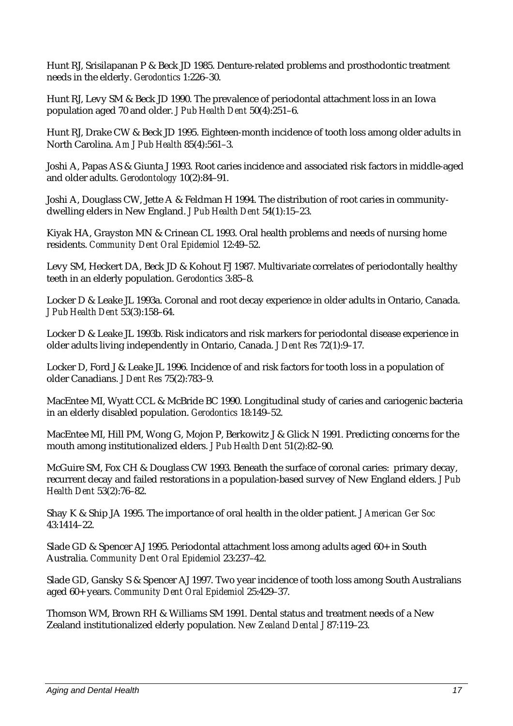Hunt RJ, Srisilapanan P & Beck JD 1985. Denture-related problems and prosthodontic treatment needs in the elderly. *Gerodontics* 1:226–30.

Hunt RJ, Levy SM & Beck JD 1990. The prevalence of periodontal attachment loss in an Iowa population aged 70 and older. *J Pub Health Dent* 50(4):251–6.

Hunt RJ, Drake CW & Beck JD 1995. Eighteen-month incidence of tooth loss among older adults in North Carolina. *Am J Pub Health* 85(4):561–3.

Joshi A, Papas AS & Giunta J 1993. Root caries incidence and associated risk factors in middle-aged and older adults. *Gerodontology* 10(2):84–91.

Joshi A, Douglass CW, Jette A & Feldman H 1994. The distribution of root caries in communitydwelling elders in New England. *J Pub Health Dent* 54(1):15–23.

Kiyak HA, Grayston MN & Crinean CL 1993. Oral health problems and needs of nursing home residents. *Community Dent Oral Epidemiol* 12:49–52.

Levy SM, Heckert DA, Beck JD & Kohout FJ 1987. Multivariate correlates of periodontally healthy teeth in an elderly population. *Gerodontics* 3:85–8.

Locker D & Leake JL 1993a. Coronal and root decay experience in older adults in Ontario, Canada. *J Pub Health Dent* 53(3):158–64.

Locker D & Leake JL 1993b. Risk indicators and risk markers for periodontal disease experience in older adults living independently in Ontario, Canada. *J Dent Res* 72(1):9–17.

Locker D, Ford J & Leake JL 1996. Incidence of and risk factors for tooth loss in a population of older Canadians. *J Dent Res* 75(2):783–9.

MacEntee MI, Wyatt CCL & McBride BC 1990. Longitudinal study of caries and cariogenic bacteria in an elderly disabled population. *Gerodontics* 18:149–52.

MacEntee MI, Hill PM, Wong G, Mojon P, Berkowitz J & Glick N 1991. Predicting concerns for the mouth among institutionalized elders. *J Pub Health Dent* 51(2):82–90.

McGuire SM, Fox CH & Douglass CW 1993. Beneath the surface of coronal caries: primary decay, recurrent decay and failed restorations in a population-based survey of New England elders. *J Pub Health Dent* 53(2):76–82.

Shay K & Ship JA 1995. The importance of oral health in the older patient. *J American Ger Soc* 43:1414–22.

Slade GD & Spencer AJ 1995. Periodontal attachment loss among adults aged 60+ in South Australia. *Community Dent Oral Epidemiol* 23:237–42.

Slade GD, Gansky S & Spencer AJ 1997. Two year incidence of tooth loss among South Australians aged 60+ years. *Community Dent Oral Epidemiol* 25:429–37.

Thomson WM, Brown RH & Williams SM 1991. Dental status and treatment needs of a New Zealand institutionalized elderly population. *New Zealand Dental J* 87:119–23.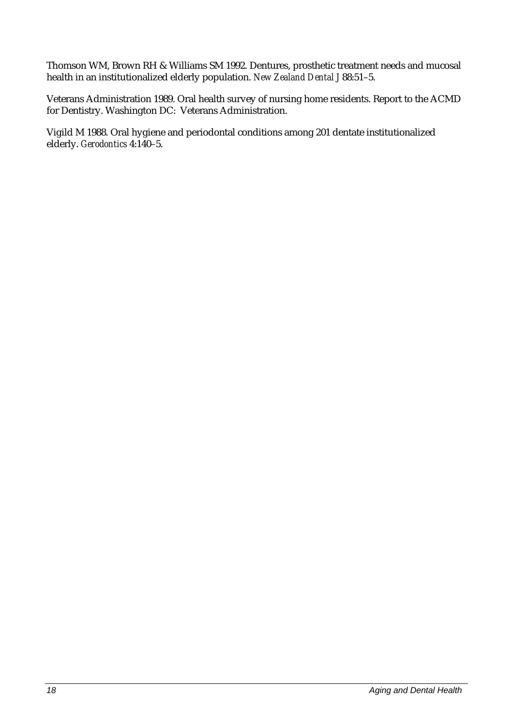Thomson WM, Brown RH & Williams SM 1992. Dentures, prosthetic treatment needs and mucosal health in an institutionalized elderly population. *New Zealand Dental J* 88:51–5.

Veterans Administration 1989. Oral health survey of nursing home residents. Report to the ACMD for Dentistry. Washington DC: Veterans Administration.

Vigild M 1988. Oral hygiene and periodontal conditions among 201 dentate institutionalized elderly. *Gerodontics* 4:140–5.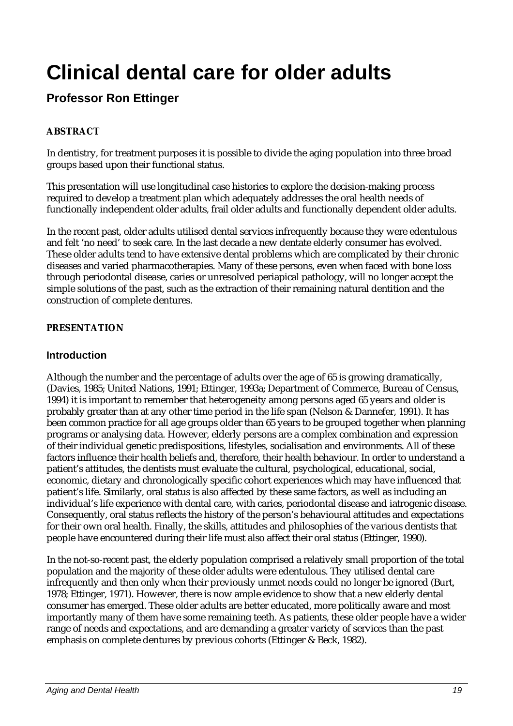# **Clinical dental care for older adults**

# **Professor Ron Ettinger**

# **ABSTRACT**

In dentistry, for treatment purposes it is possible to divide the aging population into three broad groups based upon their functional status.

This presentation will use longitudinal case histories to explore the decision-making process required to develop a treatment plan which adequately addresses the oral health needs of functionally independent older adults, frail older adults and functionally dependent older adults.

In the recent past, older adults utilised dental services infrequently because they were edentulous and felt 'no need' to seek care. In the last decade a new dentate elderly consumer has evolved. These older adults tend to have extensive dental problems which are complicated by their chronic diseases and varied pharmacotherapies. Many of these persons, even when faced with bone loss through periodontal disease, caries or unresolved periapical pathology, will no longer accept the simple solutions of the past, such as the extraction of their remaining natural dentition and the construction of complete dentures.

## **PRESENTATION**

## **Introduction**

Although the number and the percentage of adults over the age of 65 is growing dramatically, (Davies, 1985; United Nations, 1991; Ettinger, 1993a; Department of Commerce, Bureau of Census, 1994) it is important to remember that heterogeneity among persons aged 65 years and older is probably greater than at any other time period in the life span (Nelson & Dannefer, 1991). It has been common practice for all age groups older than 65 years to be grouped together when planning programs or analysing data. However, elderly persons are a complex combination and expression of their individual genetic predispositions, lifestyles, socialisation and environments. All of these factors influence their health beliefs and, therefore, their health behaviour. In order to understand a patient's attitudes, the dentists must evaluate the cultural, psychological, educational, social, economic, dietary and chronologically specific cohort experiences which may have influenced that patient's life. Similarly, oral status is also affected by these same factors, as well as including an individual's life experience with dental care, with caries, periodontal disease and iatrogenic disease. Consequently, oral status reflects the history of the person's behavioural attitudes and expectations for their own oral health. Finally, the skills, attitudes and philosophies of the various dentists that people have encountered during their life must also affect their oral status (Ettinger, 1990).

In the not-so-recent past, the elderly population comprised a relatively small proportion of the total population and the majority of these older adults were edentulous. They utilised dental care infrequently and then only when their previously unmet needs could no longer be ignored (Burt, 1978; Ettinger, 1971). However, there is now ample evidence to show that a new elderly dental consumer has emerged. These older adults are better educated, more politically aware and most importantly many of them have some remaining teeth. As patients, these older people have a wider range of needs and expectations, and are demanding a greater variety of services than the past emphasis on complete dentures by previous cohorts (Ettinger & Beck, 1982).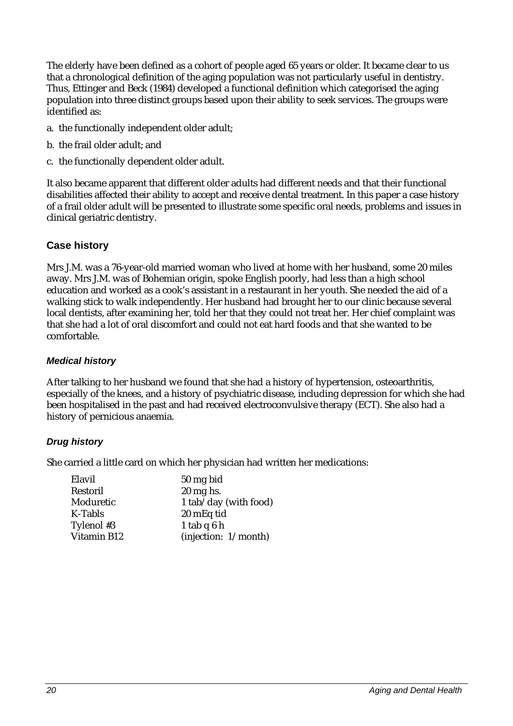The elderly have been defined as a cohort of people aged 65 years or older. It became clear to us that a chronological definition of the aging population was not particularly useful in dentistry. Thus, Ettinger and Beck (1984) developed a functional definition which categorised the aging population into three distinct groups based upon their ability to seek services. The groups were identified as:

- a. the functionally independent older adult;
- b. the frail older adult; and
- c. the functionally dependent older adult.

It also became apparent that different older adults had different needs and that their functional disabilities affected their ability to accept and receive dental treatment. In this paper a case history of a frail older adult will be presented to illustrate some specific oral needs, problems and issues in clinical geriatric dentistry.

## **Case history**

Mrs J.M. was a 76-year-old married woman who lived at home with her husband, some 20 miles away. Mrs J.M. was of Bohemian origin, spoke English poorly, had less than a high school education and worked as a cook's assistant in a restaurant in her youth. She needed the aid of a walking stick to walk independently. Her husband had brought her to our clinic because several local dentists, after examining her, told her that they could not treat her. Her chief complaint was that she had a lot of oral discomfort and could not eat hard foods and that she wanted to be comfortable.

#### *Medical history*

After talking to her husband we found that she had a history of hypertension, osteoarthritis, especially of the knees, and a history of psychiatric disease, including depression for which she had been hospitalised in the past and had received electroconvulsive therapy (ECT). She also had a history of pernicious anaemia.

#### *Drug history*

She carried a little card on which her physician had written her medications:

| Elavil      | 50 mg bid             |
|-------------|-----------------------|
| Restoril    | $20 \text{ mg}$ hs.   |
| Moduretic   | 1 tab/day (with food) |
| K-Tabls     | 20 mEq tid            |
| Tylenol #3  | 1 tab $q6h$           |
| Vitamin B12 | (injection: 1/month)  |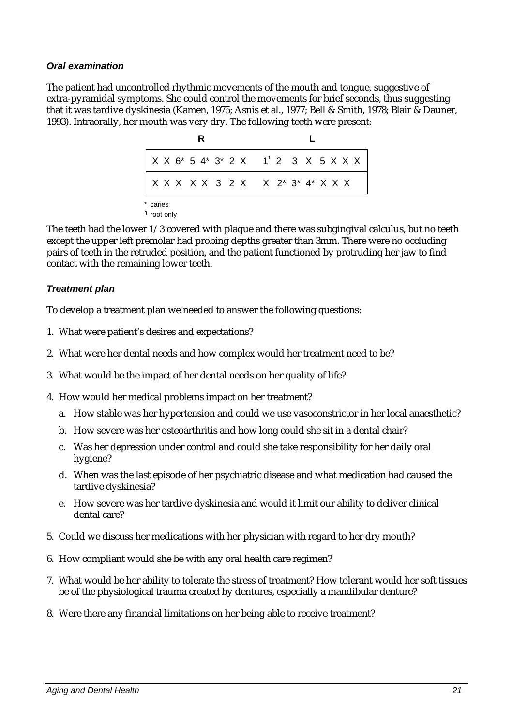#### *Oral examination*

The patient had uncontrolled rhythmic movements of the mouth and tongue, suggestive of extra-pyramidal symptoms. She could control the movements for brief seconds, thus suggesting that it was tardive dyskinesia (Kamen, 1975; Asnis et al., 1977; Bell & Smith, 1978; Blair & Dauner, 1993). Intraorally, her mouth was very dry. The following teeth were present:

|          |  |  |  |  | $X X 6* 5 4* 3* 2 X 1' 2 3 X 5 X X X$ |  |  |  |
|----------|--|--|--|--|---------------------------------------|--|--|--|
|          |  |  |  |  | X X X X X 3 2 X X 2* 3* 4* X X X      |  |  |  |
| * caries |  |  |  |  |                                       |  |  |  |

<sup>1</sup> root only

The teeth had the lower 1/3 covered with plaque and there was subgingival calculus, but no teeth except the upper left premolar had probing depths greater than 3mm. There were no occluding pairs of teeth in the retruded position, and the patient functioned by protruding her jaw to find contact with the remaining lower teeth.

#### *Treatment plan*

To develop a treatment plan we needed to answer the following questions:

- 1. What were patient's desires and expectations?
- 2. What were her dental needs and how complex would her treatment need to be?
- 3. What would be the impact of her dental needs on her quality of life?
- 4. How would her medical problems impact on her treatment?
	- a. How stable was her hypertension and could we use vasoconstrictor in her local anaesthetic?
	- b. How severe was her osteoarthritis and how long could she sit in a dental chair?
	- c. Was her depression under control and could she take responsibility for her daily oral hygiene?
	- d. When was the last episode of her psychiatric disease and what medication had caused the tardive dyskinesia?
	- e. How severe was her tardive dyskinesia and would it limit our ability to deliver clinical dental care?
- 5. Could we discuss her medications with her physician with regard to her dry mouth?
- 6. How compliant would she be with any oral health care regimen?
- 7. What would be her ability to tolerate the stress of treatment? How tolerant would her soft tissues be of the physiological trauma created by dentures, especially a mandibular denture?
- 8. Were there any financial limitations on her being able to receive treatment?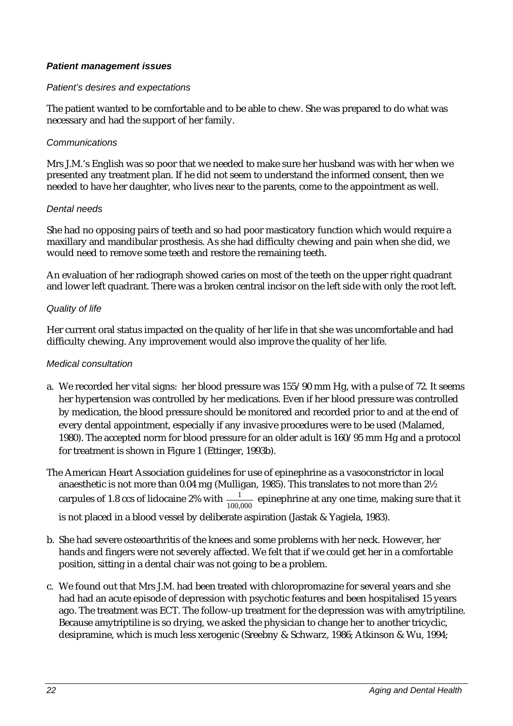#### *Patient management issues*

#### *Patient's desires and expectations*

The patient wanted to be comfortable and to be able to chew. She was prepared to do what was necessary and had the support of her family.

#### *Communications*

Mrs J.M.'s English was so poor that we needed to make sure her husband was with her when we presented any treatment plan. If he did not seem to understand the informed consent, then we needed to have her daughter, who lives near to the parents, come to the appointment as well.

#### *Dental needs*

She had no opposing pairs of teeth and so had poor masticatory function which would require a maxillary and mandibular prosthesis. As she had difficulty chewing and pain when she did, we would need to remove some teeth and restore the remaining teeth.

An evaluation of her radiograph showed caries on most of the teeth on the upper right quadrant and lower left quadrant. There was a broken central incisor on the left side with only the root left.

#### *Quality of life*

Her current oral status impacted on the quality of her life in that she was uncomfortable and had difficulty chewing. Any improvement would also improve the quality of her life.

#### *Medical consultation*

- a. We recorded her vital signs: her blood pressure was 155/90 mm Hg, with a pulse of 72. It seems her hypertension was controlled by her medications. Even if her blood pressure was controlled by medication, the blood pressure should be monitored and recorded prior to and at the end of every dental appointment, especially if any invasive procedures were to be used (Malamed, 1980). The accepted norm for blood pressure for an older adult is 160/95 mm Hg and a protocol for treatment is shown in Figure 1 (Ettinger, 1993b).
- The American Heart Association guidelines for use of epinephrine as a vasoconstrictor in local anaesthetic is not more than 0.04 mg (Mulligan, 1985). This translates to not more than 2½ carpules of 1.8 ccs of lidocaine 2% with  $\frac{1}{100,000}$  epinephrine at any one time, making sure that it is not placed in a blood vessel by deliberate aspiration (Jastak & Yagiela, 1983).
- b. She had severe osteoarthritis of the knees and some problems with her neck. However, her hands and fingers were not severely affected. We felt that if we could get her in a comfortable position, sitting in a dental chair was not going to be a problem.
- c. We found out that Mrs J.M. had been treated with chloropromazine for several years and she had had an acute episode of depression with psychotic features and been hospitalised 15 years ago. The treatment was ECT. The follow-up treatment for the depression was with amytriptiline. Because amytriptiline is so drying, we asked the physician to change her to another tricyclic, desipramine, which is much less xerogenic (Sreebny & Schwarz, 1986; Atkinson & Wu, 1994;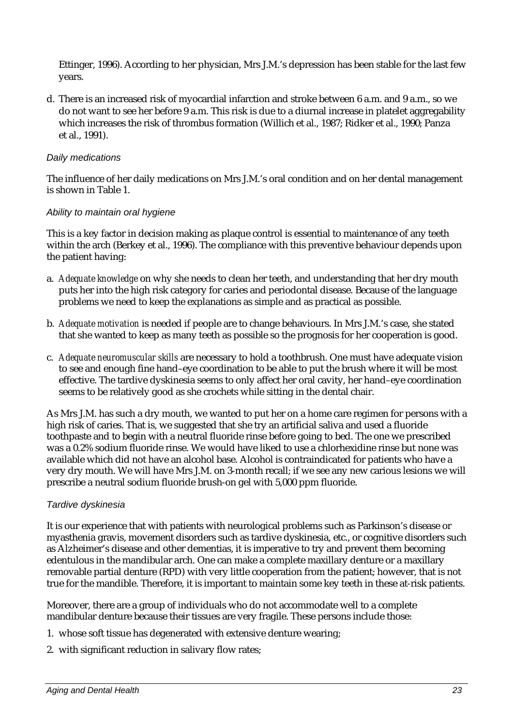Ettinger, 1996). According to her physician, Mrs J.M.'s depression has been stable for the last few years.

d. There is an increased risk of myocardial infarction and stroke between 6 a.m. and 9 a.m., so we do not want to see her before 9 a.m. This risk is due to a diurnal increase in platelet aggregability which increases the risk of thrombus formation (Willich et al., 1987; Ridker et al., 1990; Panza et al., 1991).

#### *Daily medications*

The influence of her daily medications on Mrs J.M.'s oral condition and on her dental management is shown in Table 1.

#### *Ability to maintain oral hygiene*

This is a key factor in decision making as plaque control is essential to maintenance of any teeth within the arch (Berkey et al., 1996). The compliance with this preventive behaviour depends upon the patient having:

- a. *Adequate knowledge* on why she needs to clean her teeth, and understanding that her dry mouth puts her into the high risk category for caries and periodontal disease. Because of the language problems we need to keep the explanations as simple and as practical as possible.
- b. *Adequate motivation* is needed if people are to change behaviours. In Mrs J.M.'s case, she stated that she wanted to keep as many teeth as possible so the prognosis for her cooperation is good.
- c. *Adequate neuromuscular skills* are necessary to hold a toothbrush. One must have adequate vision to see and enough fine hand–eye coordination to be able to put the brush where it will be most effective. The tardive dyskinesia seems to only affect her oral cavity, her hand–eye coordination seems to be relatively good as she crochets while sitting in the dental chair.

As Mrs J.M. has such a dry mouth, we wanted to put her on a home care regimen for persons with a high risk of caries. That is, we suggested that she try an artificial saliva and used a fluoride toothpaste and to begin with a neutral fluoride rinse before going to bed. The one we prescribed was a 0.2% sodium fluoride rinse. We would have liked to use a chlorhexidine rinse but none was available which did not have an alcohol base. Alcohol is contraindicated for patients who have a very dry mouth. We will have Mrs J.M. on 3-month recall; if we see any new carious lesions we will prescribe a neutral sodium fluoride brush-on gel with 5,000 ppm fluoride.

#### *Tardive dyskinesia*

It is our experience that with patients with neurological problems such as Parkinson's disease or myasthenia gravis, movement disorders such as tardive dyskinesia, etc., or cognitive disorders such as Alzheimer's disease and other dementias, it is imperative to try and prevent them becoming edentulous in the mandibular arch. One can make a complete maxillary denture or a maxillary removable partial denture (RPD) with very little cooperation from the patient; however, that is not true for the mandible. Therefore, it is important to maintain some key teeth in these at-risk patients.

Moreover, there are a group of individuals who do not accommodate well to a complete mandibular denture because their tissues are very fragile. These persons include those:

- 1. whose soft tissue has degenerated with extensive denture wearing;
- 2. with significant reduction in salivary flow rates;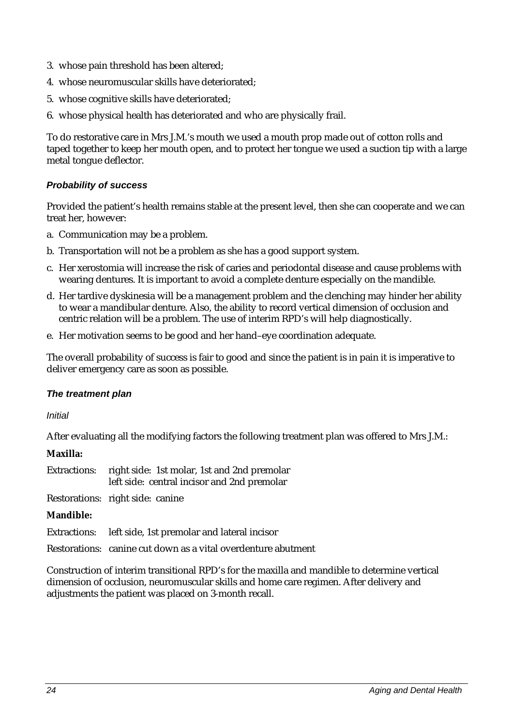- 3. whose pain threshold has been altered;
- 4. whose neuromuscular skills have deteriorated;
- 5. whose cognitive skills have deteriorated;
- 6. whose physical health has deteriorated and who are physically frail.

To do restorative care in Mrs J.M.'s mouth we used a mouth prop made out of cotton rolls and taped together to keep her mouth open, and to protect her tongue we used a suction tip with a large metal tongue deflector.

#### *Probability of success*

Provided the patient's health remains stable at the present level, then she can cooperate and we can treat her, however:

- a. Communication may be a problem.
- b. Transportation will not be a problem as she has a good support system.
- c. Her xerostomia will increase the risk of caries and periodontal disease and cause problems with wearing dentures. It is important to avoid a complete denture especially on the mandible.
- d. Her tardive dyskinesia will be a management problem and the clenching may hinder her ability to wear a mandibular denture. Also, the ability to record vertical dimension of occlusion and centric relation will be a problem. The use of interim RPD's will help diagnostically.
- e. Her motivation seems to be good and her hand–eye coordination adequate.

The overall probability of success is fair to good and since the patient is in pain it is imperative to deliver emergency care as soon as possible.

#### *The treatment plan*

*Initial*

After evaluating all the modifying factors the following treatment plan was offered to Mrs J.M.:

**Maxilla:**

| Extractions: right side: 1st molar, 1st and 2nd premolar |
|----------------------------------------------------------|
| left side: central incisor and 2nd premolar              |

Restorations: right side: canine

#### **Mandible:**

Extractions: left side, 1st premolar and lateral incisor

Restorations: canine cut down as a vital overdenture abutment

Construction of interim transitional RPD's for the maxilla and mandible to determine vertical dimension of occlusion, neuromuscular skills and home care regimen. After delivery and adjustments the patient was placed on 3-month recall.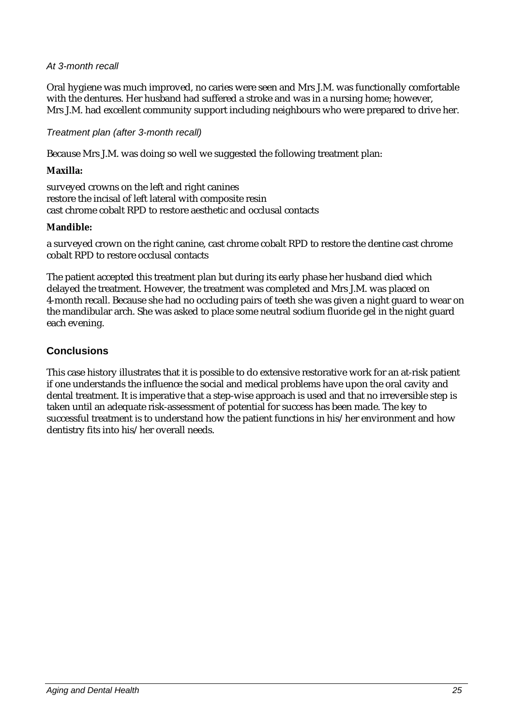#### *At 3-month recall*

Oral hygiene was much improved, no caries were seen and Mrs J.M. was functionally comfortable with the dentures. Her husband had suffered a stroke and was in a nursing home; however, Mrs J.M. had excellent community support including neighbours who were prepared to drive her.

#### *Treatment plan (after 3-month recall)*

Because Mrs J.M. was doing so well we suggested the following treatment plan:

#### **Maxilla:**

surveyed crowns on the left and right canines restore the incisal of left lateral with composite resin cast chrome cobalt RPD to restore aesthetic and occlusal contacts

#### **Mandible:**

a surveyed crown on the right canine, cast chrome cobalt RPD to restore the dentine cast chrome cobalt RPD to restore occlusal contacts

The patient accepted this treatment plan but during its early phase her husband died which delayed the treatment. However, the treatment was completed and Mrs J.M. was placed on 4-month recall. Because she had no occluding pairs of teeth she was given a night guard to wear on the mandibular arch. She was asked to place some neutral sodium fluoride gel in the night guard each evening.

## **Conclusions**

This case history illustrates that it is possible to do extensive restorative work for an at-risk patient if one understands the influence the social and medical problems have upon the oral cavity and dental treatment. It is imperative that a step-wise approach is used and that no irreversible step is taken until an adequate risk-assessment of potential for success has been made. The key to successful treatment is to understand how the patient functions in his/her environment and how dentistry fits into his/her overall needs.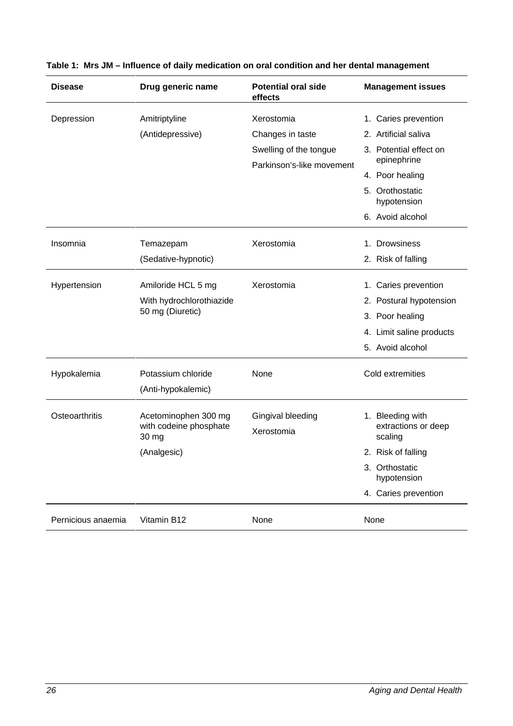| <b>Disease</b>     | Drug generic name                        | <b>Potential oral side</b><br>effects | <b>Management issues</b>       |
|--------------------|------------------------------------------|---------------------------------------|--------------------------------|
| Depression         | Amitriptyline                            | Xerostomia                            | 1. Caries prevention           |
|                    | (Antidepressive)                         | Changes in taste                      | 2. Artificial saliva           |
|                    |                                          | Swelling of the tongue                | 3. Potential effect on         |
|                    |                                          | Parkinson's-like movement             | epinephrine                    |
|                    |                                          |                                       | 4. Poor healing                |
|                    |                                          |                                       | 5. Orothostatic<br>hypotension |
|                    |                                          |                                       | 6. Avoid alcohol               |
| Insomnia           | Temazepam                                | Xerostomia                            | 1. Drowsiness                  |
|                    | (Sedative-hypnotic)                      |                                       | 2. Risk of falling             |
| Hypertension       | Amiloride HCL 5 mg                       | Xerostomia                            | 1. Caries prevention           |
|                    | With hydrochlorothiazide                 |                                       | 2. Postural hypotension        |
|                    | 50 mg (Diuretic)                         |                                       | 3. Poor healing                |
|                    |                                          |                                       | 4. Limit saline products       |
|                    |                                          |                                       | 5. Avoid alcohol               |
| Hypokalemia        | Potassium chloride<br>(Anti-hypokalemic) | None                                  | Cold extremities               |
| Osteoarthritis     | Acetominophen 300 mg                     | Gingival bleeding                     | 1. Bleeding with               |
|                    | with codeine phosphate<br>30 mg          | Xerostomia                            | extractions or deep<br>scaling |
|                    | (Analgesic)                              |                                       | 2. Risk of falling             |
|                    |                                          |                                       | 3. Orthostatic<br>hypotension  |
|                    |                                          |                                       | 4. Caries prevention           |
| Pernicious anaemia | Vitamin B12                              | None                                  | None                           |

|  |  |  |  |  |  |  |  |  | Table 1: Mrs JM - Influence of daily medication on oral condition and her dental management |
|--|--|--|--|--|--|--|--|--|---------------------------------------------------------------------------------------------|
|--|--|--|--|--|--|--|--|--|---------------------------------------------------------------------------------------------|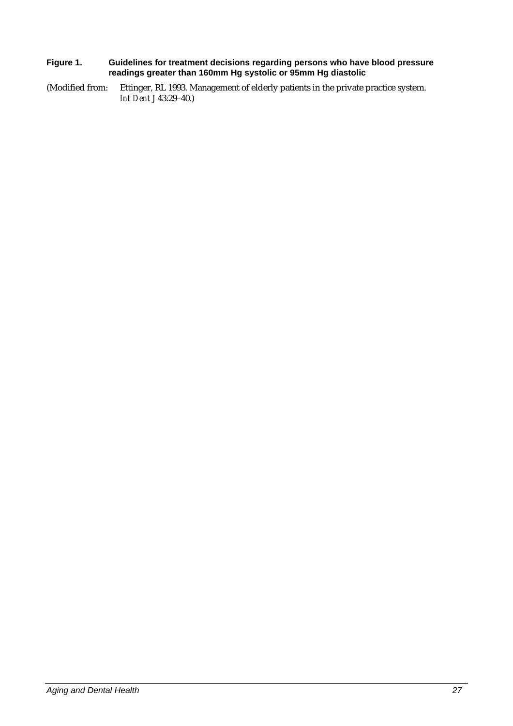#### **Figure 1. Guidelines for treatment decisions regarding persons who have blood pressure readings greater than 160mm Hg systolic or 95mm Hg diastolic**

(Modified from: Ettinger, RL 1993. Management of elderly patients in the private practice system. *Int Dent J* 43:29–40.)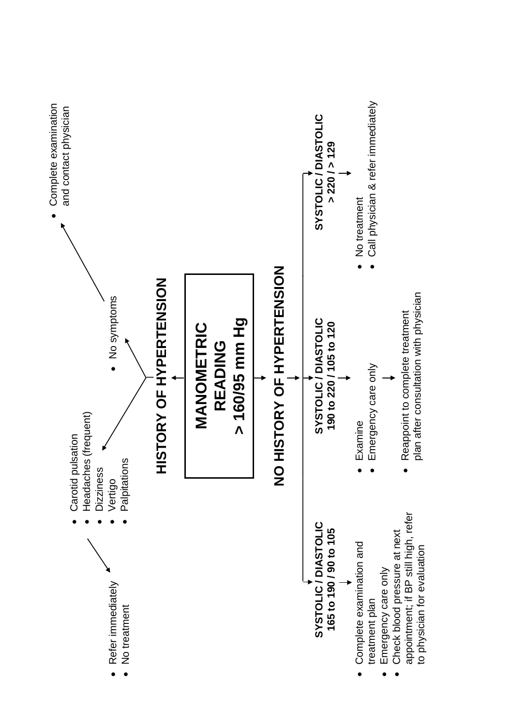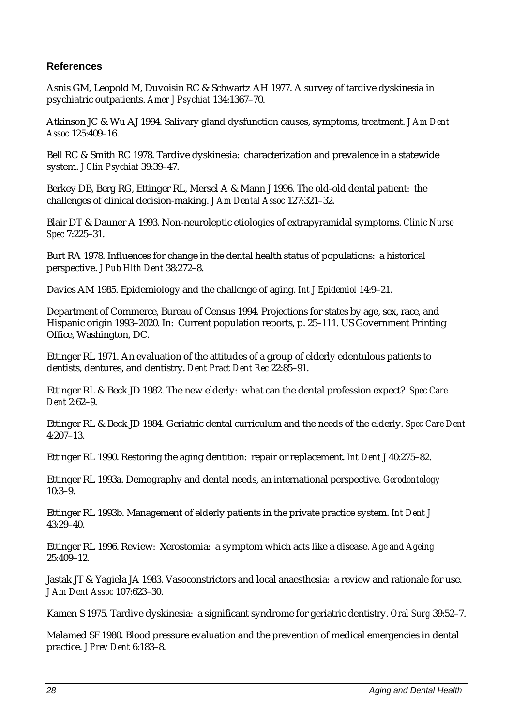# **References**

Asnis GM, Leopold M, Duvoisin RC & Schwartz AH 1977. A survey of tardive dyskinesia in psychiatric outpatients. *Amer J Psychiat* 134:1367–70.

Atkinson JC & Wu AJ 1994. Salivary gland dysfunction causes, symptoms, treatment. *J Am Dent Assoc* 125:409–16.

Bell RC & Smith RC 1978. Tardive dyskinesia: characterization and prevalence in a statewide system. *J Clin Psychiat* 39:39–47.

Berkey DB, Berg RG, Ettinger RL, Mersel A & Mann J 1996. The old-old dental patient: the challenges of clinical decision-making. *J Am Dental Assoc* 127:321–32.

Blair DT & Dauner A 1993. Non-neuroleptic etiologies of extrapyramidal symptoms. *Clinic Nurse Spec* 7:225–31.

Burt RA 1978. Influences for change in the dental health status of populations: a historical perspective. *J Pub Hlth Dent* 38:272–8.

Davies AM 1985. Epidemiology and the challenge of aging. *Int J Epidemiol* 14:9–21.

Department of Commerce, Bureau of Census 1994. Projections for states by age, sex, race, and Hispanic origin 1993–2020. In: Current population reports, p. 25–111. US Government Printing Office, Washington, DC.

Ettinger RL 1971. An evaluation of the attitudes of a group of elderly edentulous patients to dentists, dentures, and dentistry. *Dent Pract Dent Rec* 22:85–91.

Ettinger RL & Beck JD 1982. The new elderly: what can the dental profession expect? *Spec Care Dent* 2:62–9.

Ettinger RL & Beck JD 1984. Geriatric dental curriculum and the needs of the elderly. *Spec Care Dent* 4:207–13.

Ettinger RL 1990. Restoring the aging dentition: repair or replacement. *Int Dent J* 40:275–82.

Ettinger RL 1993a. Demography and dental needs, an international perspective. *Gerodontology* 10:3–9.

Ettinger RL 1993b. Management of elderly patients in the private practice system. *Int Dent J*  $43:29-40.$ 

Ettinger RL 1996. Review: Xerostomia: a symptom which acts like a disease. *Age and Ageing* 25:409–12.

Jastak JT & Yagiela JA 1983. Vasoconstrictors and local anaesthesia: a review and rationale for use. *J Am Dent Assoc* 107:623–30.

Kamen S 1975. Tardive dyskinesia: a significant syndrome for geriatric dentistry. *Oral Surg* 39:52–7.

Malamed SF 1980. Blood pressure evaluation and the prevention of medical emergencies in dental practice. *J Prev Dent* 6:183–8.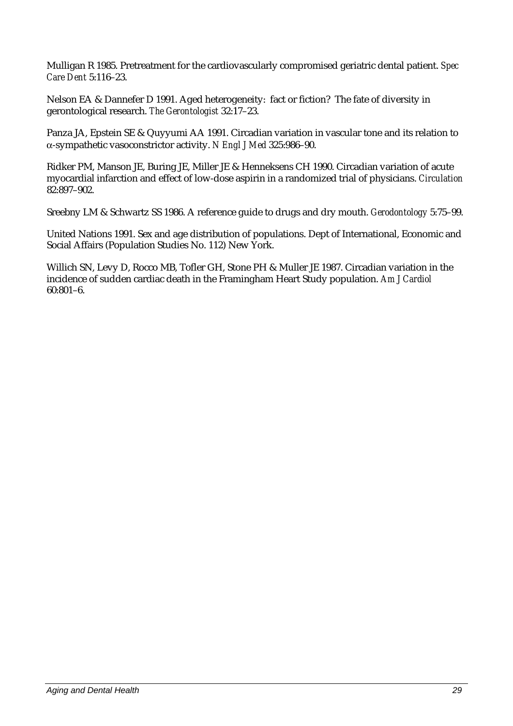Mulligan R 1985. Pretreatment for the cardiovascularly compromised geriatric dental patient. *Spec Care Dent* 5:116–23.

Nelson EA & Dannefer D 1991. Aged heterogeneity: fact or fiction? The fate of diversity in gerontological research. *The Gerontologist* 32:17–23.

Panza JA, Epstein SE & Quyyumi AA 1991. Circadian variation in vascular tone and its relation to α-sympathetic vasoconstrictor activity. *N Engl J Med* 325:986–90.

Ridker PM, Manson JE, Buring JE, Miller JE & Henneksens CH 1990. Circadian variation of acute myocardial infarction and effect of low-dose aspirin in a randomized trial of physicians. *Circulation* 82:897–902.

Sreebny LM & Schwartz SS 1986. A reference guide to drugs and dry mouth. *Gerodontology* 5:75–99.

United Nations 1991. Sex and age distribution of populations. Dept of International, Economic and Social Affairs (Population Studies No. 112) New York.

Willich SN, Levy D, Rocco MB, Tofler GH, Stone PH & Muller JE 1987. Circadian variation in the incidence of sudden cardiac death in the Framingham Heart Study population. *Am J Cardiol* 60:801–6.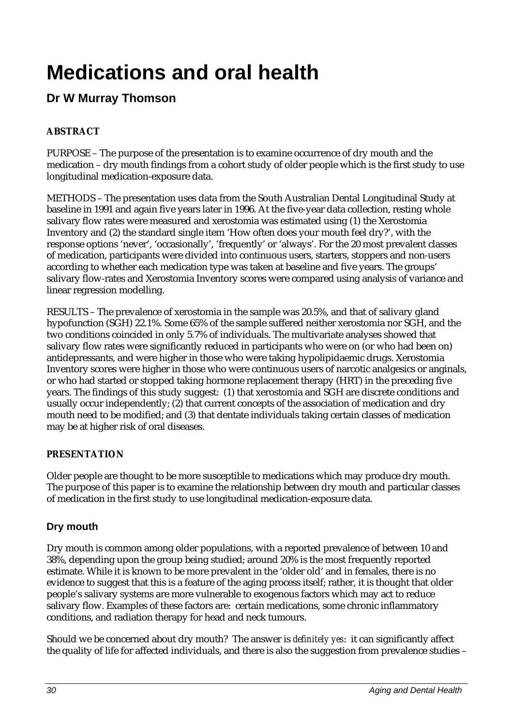# **Medications and oral health**

# **Dr W Murray Thomson**

# **ABSTRACT**

PURPOSE – The purpose of the presentation is to examine occurrence of dry mouth and the medication – dry mouth findings from a cohort study of older people which is the first study to use longitudinal medication-exposure data.

METHODS – The presentation uses data from the South Australian Dental Longitudinal Study at baseline in 1991 and again five years later in 1996. At the five-year data collection, resting whole salivary flow rates were measured and xerostomia was estimated using (1) the Xerostomia Inventory and (2) the standard single item 'How often does your mouth feel dry?', with the response options 'never', 'occasionally', 'frequently' or 'always'. For the 20 most prevalent classes of medication, participants were divided into continuous users, starters, stoppers and non-users according to whether each medication type was taken at baseline and five years. The groups' salivary flow-rates and Xerostomia Inventory scores were compared using analysis of variance and linear regression modelling.

RESULTS – The prevalence of xerostomia in the sample was 20.5%, and that of salivary gland hypofunction (SGH) 22.1%. Some 65% of the sample suffered neither xerostomia nor SGH, and the two conditions coincided in only 5.7% of individuals. The multivariate analyses showed that salivary flow rates were significantly reduced in participants who were on (or who had been on) antidepressants, and were higher in those who were taking hypolipidaemic drugs. Xerostomia Inventory scores were higher in those who were continuous users of narcotic analgesics or anginals, or who had started or stopped taking hormone replacement therapy (HRT) in the preceding five years. The findings of this study suggest: (1) that xerostomia and SGH are discrete conditions and usually occur independently; (2) that current concepts of the association of medication and dry mouth need to be modified; and (3) that dentate individuals taking certain classes of medication may be at higher risk of oral diseases.

# **PRESENTATION**

Older people are thought to be more susceptible to medications which may produce dry mouth. The purpose of this paper is to examine the relationship between dry mouth and particular classes of medication in the first study to use longitudinal medication-exposure data.

# **Dry mouth**

Dry mouth is common among older populations, with a reported prevalence of between 10 and 38%, depending upon the group being studied; around 20% is the most frequently reported estimate. While it is known to be more prevalent in the 'older old' and in females, there is no evidence to suggest that this is a feature of the aging process itself; rather, it is thought that older people's salivary systems are more vulnerable to exogenous factors which may act to reduce salivary flow. Examples of these factors are: certain medications, some chronic inflammatory conditions, and radiation therapy for head and neck tumours.

Should we be concerned about dry mouth? The answer is *definitely yes*: it can significantly affect the quality of life for affected individuals, and there is also the suggestion from prevalence studies –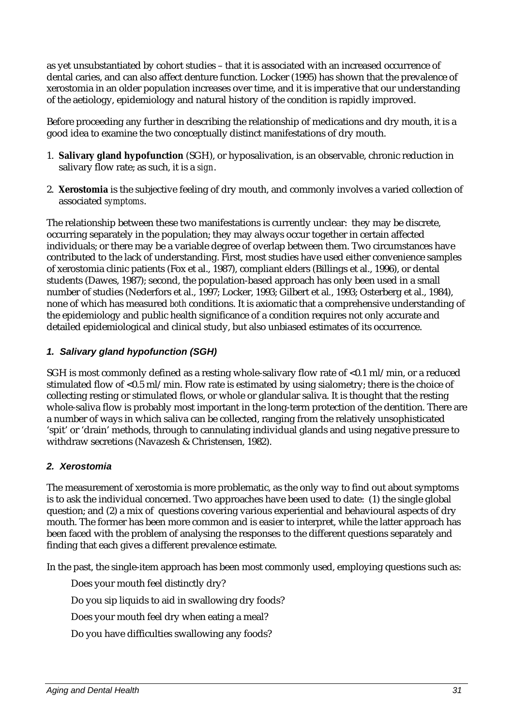as yet unsubstantiated by cohort studies – that it is associated with an increased occurrence of dental caries, and can also affect denture function. Locker (1995) has shown that the prevalence of xerostomia in an older population increases over time, and it is imperative that our understanding of the aetiology, epidemiology and natural history of the condition is rapidly improved.

Before proceeding any further in describing the relationship of medications and dry mouth, it is a good idea to examine the two conceptually distinct manifestations of dry mouth.

- 1. **Salivary gland hypofunction** (SGH), or hyposalivation, is an observable, chronic reduction in salivary flow rate; as such, it is a *sign*.
- 2. **Xerostomia** is the subjective feeling of dry mouth, and commonly involves a varied collection of associated *symptoms*.

The relationship between these two manifestations is currently unclear: they may be discrete, occurring separately in the population; they may always occur together in certain affected individuals; or there may be a variable degree of overlap between them. Two circumstances have contributed to the lack of understanding. First, most studies have used either convenience samples of xerostomia clinic patients (Fox et al., 1987), compliant elders (Billings et al., 1996), or dental students (Dawes, 1987); second, the population-based approach has only been used in a small number of studies (Nederfors et al., 1997; Locker, 1993; Gilbert et al*.*, 1993; Osterberg et al., 1984), none of which has measured *both* conditions. It is axiomatic that a comprehensive understanding of the epidemiology and public health significance of a condition requires not only accurate and detailed epidemiological and clinical study, but also unbiased estimates of its occurrence.

## *1. Salivary gland hypofunction (SGH)*

SGH is most commonly defined as a resting whole-salivary flow rate of  $\langle 0.1 \text{ ml/min}$ , or a reduced stimulated flow of  $\langle 0.5 \text{ m} / \text{min}$ . Flow rate is estimated by using sialometry; there is the choice of collecting resting or stimulated flows, or whole or glandular saliva. It is thought that the resting whole-saliva flow is probably most important in the long-term protection of the dentition. There are a number of ways in which saliva can be collected, ranging from the relatively unsophisticated 'spit' or 'drain' methods, through to cannulating individual glands and using negative pressure to withdraw secretions (Navazesh & Christensen, 1982).

#### *2. Xerostomia*

The measurement of xerostomia is more problematic, as the only way to find out about symptoms is to ask the individual concerned. Two approaches have been used to date: (1) the single global question; and (2) a mix of questions covering various experiential and behavioural aspects of dry mouth. The former has been more common and is easier to interpret, while the latter approach has been faced with the problem of analysing the responses to the different questions separately and finding that each gives a different prevalence estimate.

In the past, the single-item approach has been most commonly used, employing questions such as:

Does your mouth feel distinctly dry?

Do you sip liquids to aid in swallowing dry foods?

Does your mouth feel dry when eating a meal?

Do you have difficulties swallowing any foods?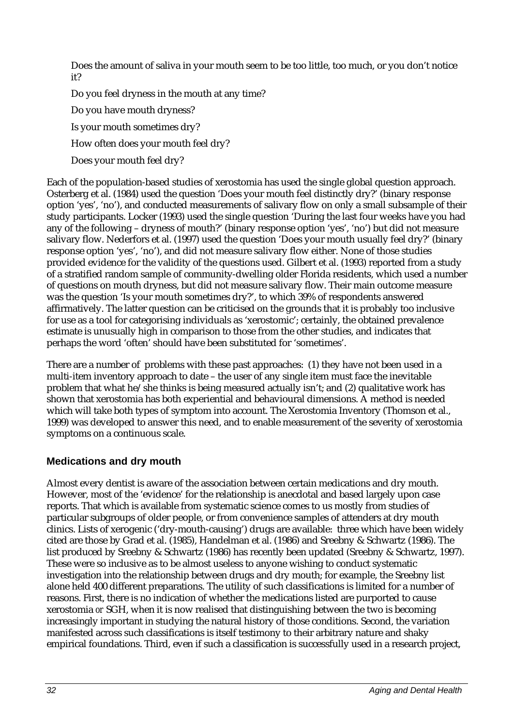Does the amount of saliva in your mouth seem to be too little, too much, or you don't notice it?

Do you feel dryness in the mouth at any time?

Do you have mouth dryness?

Is your mouth sometimes dry?

How often does your mouth feel dry?

Does your mouth feel dry?

Each of the population-based studies of xerostomia has used the single global question approach. Osterberg et al. (1984) used the question 'Does your mouth feel distinctly dry?' (binary response option 'yes', 'no'), and conducted measurements of salivary flow on only a small subsample of their study participants. Locker (1993) used the single question 'During the last four weeks have you had any of the following – dryness of mouth?' (binary response option 'yes', 'no') but did not measure salivary flow. Nederfors et al. (1997) used the question 'Does your mouth usually feel dry?' (binary response option 'yes', 'no'), and did not measure salivary flow either. None of those studies provided evidence for the validity of the questions used. Gilbert et al. (1993) reported from a study of a stratified random sample of community-dwelling older Florida residents, which used a number of questions on mouth dryness, but did not measure salivary flow. Their main outcome measure was the question 'Is your mouth sometimes dry?', to which 39% of respondents answered affirmatively. The latter question can be criticised on the grounds that it is probably too inclusive for use as a tool for categorising individuals as 'xerostomic'; certainly, the obtained prevalence estimate is unusually high in comparison to those from the other studies, and indicates that perhaps the word 'often' should have been substituted for 'sometimes'.

There are a number of problems with these past approaches: (1) they have not been used in a multi-item inventory approach to date – the user of any single item must face the inevitable problem that what he/she thinks is being measured actually isn't; and (2) qualitative work has shown that xerostomia has both experiential and behavioural dimensions. A method is needed which will take both types of symptom into account. The Xerostomia Inventory (Thomson et al., 1999) was developed to answer this need, and to enable measurement of the severity of xerostomia symptoms on a continuous scale.

# **Medications and dry mouth**

Almost every dentist is aware of the association between certain medications and dry mouth. However, most of the 'evidence' for the relationship is anecdotal and based largely upon case reports. That which is available from systematic science comes to us mostly from studies of particular subgroups of older people, or from convenience samples of attenders at dry mouth clinics. Lists of xerogenic ('dry-mouth-causing') drugs are available: three which have been widely cited are those by Grad et al. (1985), Handelman et al. (1986) and Sreebny & Schwartz (1986). The list produced by Sreebny & Schwartz (1986) has recently been updated (Sreebny & Schwartz, 1997). These were so inclusive as to be almost useless to anyone wishing to conduct systematic investigation into the relationship between drugs and dry mouth; for example, the Sreebny list alone held 400 different preparations. The utility of such classifications is limited for a number of reasons. First, there is no indication of whether the medications listed are purported to cause xerostomia *or* SGH, when it is now realised that distinguishing between the two is becoming increasingly important in studying the natural history of those conditions. Second, the variation manifested across such classifications is itself testimony to their arbitrary nature and shaky empirical foundations. Third, even if such a classification is successfully used in a research project,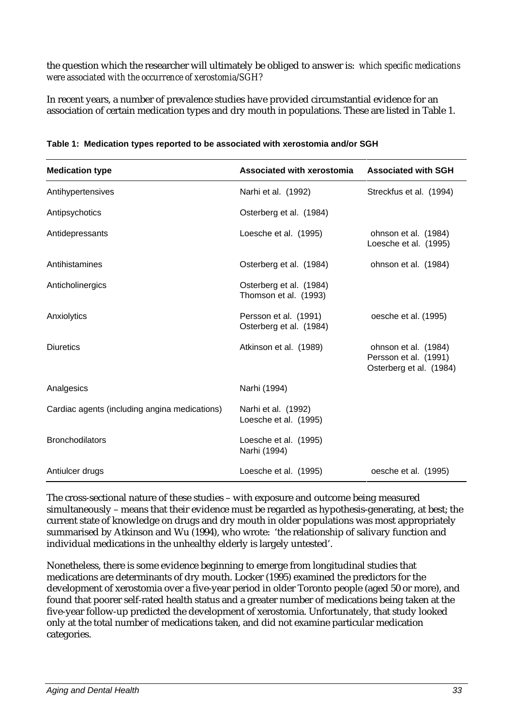the question which the researcher will ultimately be obliged to answer is: *which specific medications were associated with the occurrence of xerostomia/SGH?*

In recent years, a number of prevalence studies have provided circumstantial evidence for an association of certain medication types and dry mouth in populations. These are listed in Table 1.

| <b>Medication type</b>                        | <b>Associated with xerostomia</b>                | <b>Associated with SGH</b>                                               |
|-----------------------------------------------|--------------------------------------------------|--------------------------------------------------------------------------|
| Antihypertensives                             | Narhi et al. (1992)                              | Streckfus et al. (1994)                                                  |
| Antipsychotics                                | Osterberg et al. (1984)                          |                                                                          |
| Antidepressants                               | Loesche et al. (1995)                            | ohnson et al. (1984)<br>Loesche et al. (1995)                            |
| Antihistamines                                | Osterberg et al. (1984)                          | ohnson et al. (1984)                                                     |
| Anticholinergics                              | Osterberg et al. (1984)<br>Thomson et al. (1993) |                                                                          |
| Anxiolytics                                   | Persson et al. (1991)<br>Osterberg et al. (1984) | oesche et al. (1995)                                                     |
| <b>Diuretics</b>                              | Atkinson et al. (1989)                           | ohnson et al. (1984)<br>Persson et al. (1991)<br>Osterberg et al. (1984) |
| Analgesics                                    | Narhi (1994)                                     |                                                                          |
| Cardiac agents (including angina medications) | Narhi et al. (1992)<br>Loesche et al. (1995)     |                                                                          |
| <b>Bronchodilators</b>                        | Loesche et al. (1995)<br>Narhi (1994)            |                                                                          |
| Antiulcer drugs                               | Loesche et al. (1995)                            | oesche et al. (1995)                                                     |

**Table 1: Medication types reported to be associated with xerostomia and/or SGH**

The cross-sectional nature of these studies – with exposure and outcome being measured simultaneously – means that their evidence must be regarded as hypothesis-generating, at best; the current state of knowledge on drugs and dry mouth in older populations was most appropriately summarised by Atkinson and Wu (1994), who wrote: 'the relationship of salivary function and individual medications in the unhealthy elderly is largely untested'.

Nonetheless, there is some evidence beginning to emerge from longitudinal studies that medications are determinants of dry mouth. Locker (1995) examined the predictors for the development of xerostomia over a five-year period in older Toronto people (aged 50 or more), and found that poorer self-rated health status and a greater number of medications being taken at the five-year follow-up predicted the development of xerostomia. Unfortunately, that study looked only at the total number of medications taken, and did not examine particular medication categories.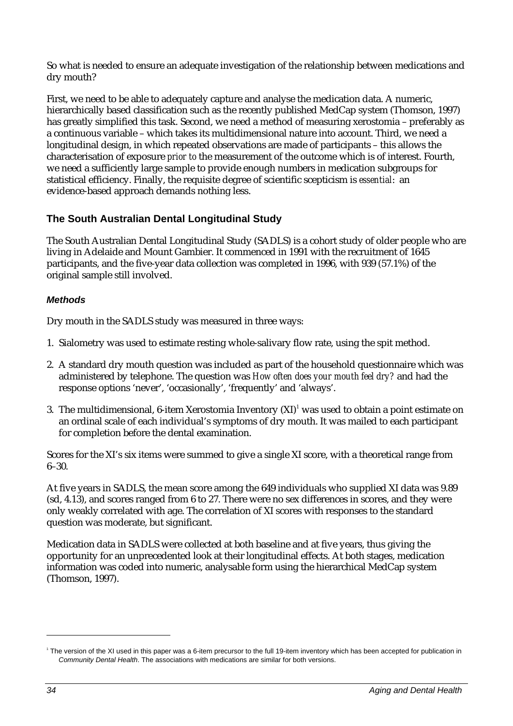So what is needed to ensure an adequate investigation of the relationship between medications and dry mouth?

First, we need to be able to adequately capture and analyse the medication data. A numeric, hierarchically based classification such as the recently published MedCap system (Thomson, 1997) has greatly simplified this task. Second, we need a method of measuring xerostomia – preferably as a continuous variable – which takes its multidimensional nature into account. Third, we need a longitudinal design, in which repeated observations are made of participants – this allows the characterisation of exposure *prior to* the measurement of the outcome which is of interest. Fourth, we need a sufficiently large sample to provide enough numbers in medication subgroups for statistical efficiency. Finally, the requisite degree of scientific scepticism is *essential*: an evidence-based approach demands nothing less.

# **The South Australian Dental Longitudinal Study**

The South Australian Dental Longitudinal Study (SADLS) is a cohort study of older people who are living in Adelaide and Mount Gambier. It commenced in 1991 with the recruitment of 1645 participants, and the five-year data collection was completed in 1996, with 939 (57.1%) of the original sample still involved.

# *Methods*

Dry mouth in the SADLS study was measured in three ways:

- 1. Sialometry was used to estimate resting whole-salivary flow rate, using the spit method.
- 2. A standard dry mouth question was included as part of the household questionnaire which was administered by telephone. The question was *How often does your mouth feel dry?* and had the response options 'never', 'occasionally', 'frequently' and 'always'.
- 3. The multidimensional, 6-item Xerostomia Inventory (XI) $^{\rm l}$  was used to obtain a point estimate on an ordinal scale of each individual's symptoms of dry mouth. It was mailed to each participant for completion before the dental examination.

Scores for the XI's six items were summed to give a single XI score, with a theoretical range from 6–30.

At five years in SADLS, the mean score among the 649 individuals who supplied XI data was 9.89 (sd, 4.13), and scores ranged from 6 to 27. There were no sex differences in scores, and they were only weakly correlated with age. The correlation of XI scores with responses to the standard question was moderate, but significant.

Medication data in SADLS were collected at both baseline and at five years, thus giving the opportunity for an unprecedented look at their longitudinal effects. At both stages, medication information was coded into numeric, analysable form using the hierarchical MedCap system (Thomson, 1997).

 $\overline{a}$ 

<sup>&</sup>lt;sup>1</sup> The version of the XI used in this paper was a 6-item precursor to the full 19-item inventory which has been accepted for publication in *Community Dental Health*. The associations with medications are similar for both versions.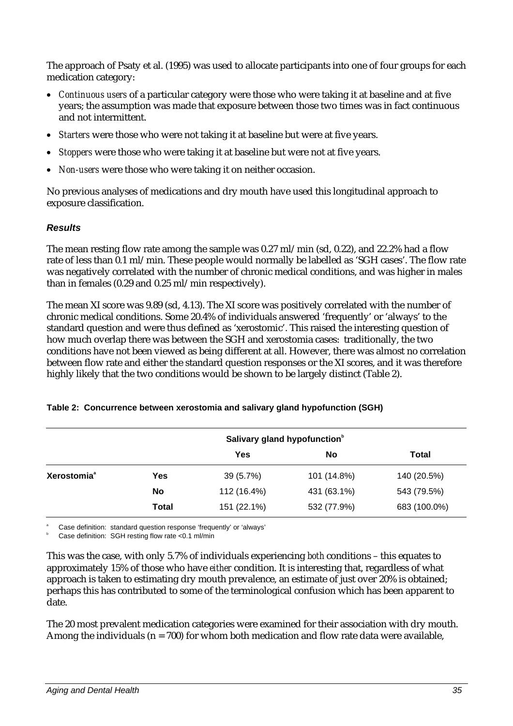The approach of Psaty et al. (1995) was used to allocate participants into one of four groups for each medication category:

- *Continuous users* of a particular category were those who were taking it at baseline and at five years; the assumption was made that exposure between those two times was in fact continuous and not intermittent.
- *Starters* were those who were not taking it at baseline but were at five years.
- *Stoppers* were those who were taking it at baseline but were not at five years.
- *Non-users* were those who were taking it on neither occasion.

No previous analyses of medications and dry mouth have used this longitudinal approach to exposure classification.

#### *Results*

The mean resting flow rate among the sample was 0.27 ml/min (sd, 0.22), and 22.2% had a flow rate of less than 0.1 ml/min. These people would normally be labelled as 'SGH cases'. The flow rate was negatively correlated with the number of chronic medical conditions, and was higher in males than in females (0.29 and 0.25 ml/min respectively).

The mean XI score was 9.89 (sd, 4.13). The XI score was positively correlated with the number of chronic medical conditions. Some 20.4% of individuals answered 'frequently' or 'always' to the standard question and were thus defined as 'xerostomic'. This raised the interesting question of how much overlap there was between the SGH and xerostomia cases: traditionally, the two conditions have not been viewed as being different at all. However, there was almost no correlation between flow rate and either the standard question responses or the XI scores, and it was therefore highly likely that the two conditions would be shown to be largely distinct (Table 2).

|                         |              | Salivary gland hypofunction <sup>b</sup> |             |              |
|-------------------------|--------------|------------------------------------------|-------------|--------------|
|                         |              | <b>Yes</b>                               | No          | Total        |
| Xerostomia <sup>ª</sup> | Yes          | 39 (5.7%)                                | 101 (14.8%) | 140 (20.5%)  |
|                         | No           | 112 (16.4%)                              | 431 (63.1%) | 543 (79.5%)  |
|                         | <b>Total</b> | 151 (22.1%)                              | 532 (77.9%) | 683 (100.0%) |

#### **Table 2: Concurrence between xerostomia and salivary gland hypofunction (SGH)**

a Case definition: standard question response 'frequently' or 'always'

b Case definition: SGH resting flow rate <0.1 ml/min

This was the case, with only 5.7% of individuals experiencing *both* conditions – this equates to approximately 15% of those who have *either* condition. It is interesting that, regardless of what approach is taken to estimating dry mouth prevalence, an estimate of just over 20% is obtained; perhaps this has contributed to some of the terminological confusion which has been apparent to date.

The 20 most prevalent medication categories were examined for their association with dry mouth. Among the individuals ( $n = 700$ ) for whom both medication and flow rate data were available,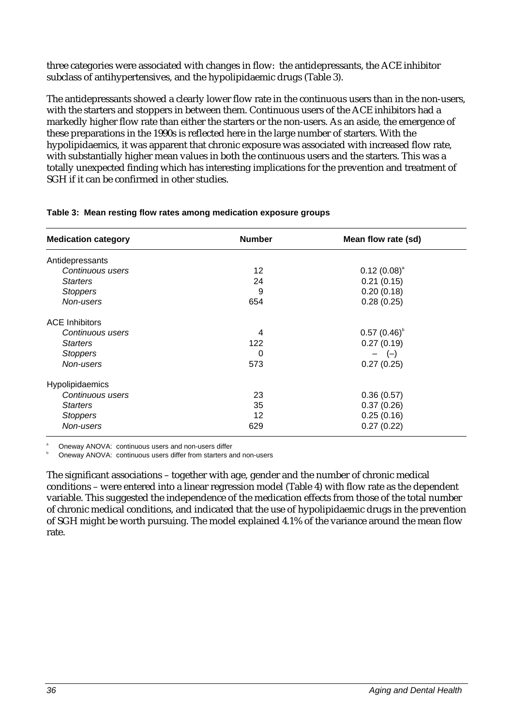three categories were associated with changes in flow: the antidepressants, the ACE inhibitor subclass of antihypertensives, and the hypolipidaemic drugs (Table 3).

The antidepressants showed a clearly lower flow rate in the continuous users than in the non-users, with the starters and stoppers in between them. Continuous users of the ACE inhibitors had a markedly higher flow rate than either the starters or the non-users. As an aside, the emergence of these preparations in the 1990s is reflected here in the large number of starters. With the hypolipidaemics, it was apparent that chronic exposure was associated with increased flow rate, with substantially higher mean values in both the continuous users and the starters. This was a totally unexpected finding which has interesting implications for the prevention and treatment of SGH if it can be confirmed in other studies.

| <b>Medication category</b> | <b>Number</b> | Mean flow rate (sd) |
|----------------------------|---------------|---------------------|
| Antidepressants            |               |                     |
| Continuous users           | 12            | $0.12(0.08)^{a}$    |
| <b>Starters</b>            | 24            | 0.21(0.15)          |
| <b>Stoppers</b>            | 9             | 0.20(0.18)          |
| Non-users                  | 654           | 0.28(0.25)          |
| <b>ACE Inhibitors</b>      |               |                     |
| Continuous users           | 4             | $0.57(0.46)^{b}$    |
| <b>Starters</b>            | 122           | 0.27(0.19)          |
| <b>Stoppers</b>            | 0             | $ (-)$              |
| Non-users                  | 573           | 0.27(0.25)          |
| Hypolipidaemics            |               |                     |
| Continuous users           | 23            | 0.36(0.57)          |
| <b>Starters</b>            | 35            | 0.37(0.26)          |
| <b>Stoppers</b>            | 12            | 0.25(0.16)          |
| Non-users                  | 629           | 0.27(0.22)          |

#### **Table 3: Mean resting flow rates among medication exposure groups**

a Oneway ANOVA: continuous users and non-users differ

b Oneway ANOVA: continuous users differ from starters and non-users

The significant associations – together with age, gender and the number of chronic medical conditions – were entered into a linear regression model (Table 4) with flow rate as the dependent variable. This suggested the independence of the medication effects from those of the total number of chronic medical conditions, and indicated that the use of hypolipidaemic drugs in the prevention of SGH might be worth pursuing. The model explained 4.1% of the variance around the mean flow rate.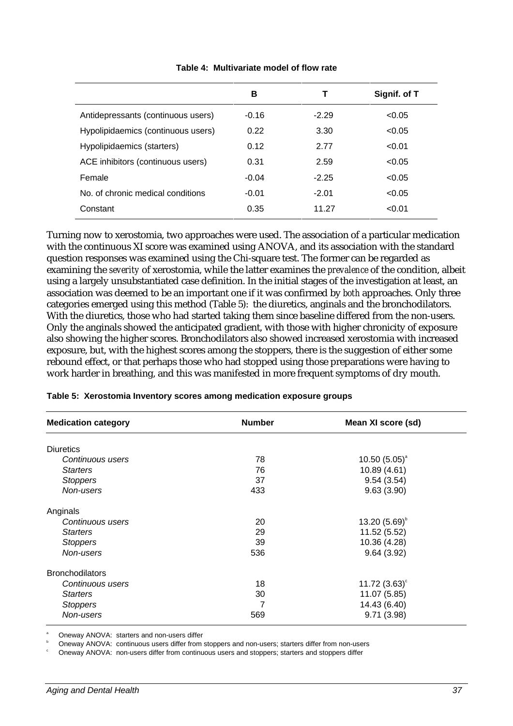|                                    | в       | Τ       | Signif. of T |
|------------------------------------|---------|---------|--------------|
| Antidepressants (continuous users) | $-0.16$ | $-2.29$ | < 0.05       |
| Hypolipidaemics (continuous users) | 0.22    | 3.30    | < 0.05       |
| Hypolipidaemics (starters)         | 0.12    | 2.77    | < 0.01       |
| ACE inhibitors (continuous users)  | 0.31    | 2.59    | < 0.05       |
| Female                             | $-0.04$ | $-2.25$ | < 0.05       |
| No. of chronic medical conditions  | $-0.01$ | $-2.01$ | < 0.05       |
| Constant                           | 0.35    | 11.27   | < 0.01       |

#### **Table 4: Multivariate model of flow rate**

Turning now to xerostomia, two approaches were used. The association of a particular medication with the continuous XI score was examined using ANOVA, and its association with the standard question responses was examined using the Chi-square test. The former can be regarded as examining the *severity* of xerostomia, while the latter examines the *prevalence* of the condition, albeit using a largely unsubstantiated case definition. In the initial stages of the investigation at least, an association was deemed to be an important one if it was confirmed by *both* approaches. Only three categories emerged using this method (Table 5): the diuretics, anginals and the bronchodilators. With the diuretics, those who had started taking them since baseline differed from the non-users. Only the anginals showed the anticipated gradient, with those with higher chronicity of exposure also showing the higher scores. Bronchodilators also showed increased xerostomia with increased exposure, but, with the highest scores among the stoppers, there is the suggestion of either some rebound effect, or that perhaps those who had stopped using those preparations were having to work harder in breathing, and this was manifested in more frequent symptoms of dry mouth.

| <b>Medication category</b> | <b>Number</b> | Mean XI score (sd) |
|----------------------------|---------------|--------------------|
| <b>Diuretics</b>           |               |                    |
| Continuous users           | 78            | $10.50(5.05)^{a}$  |
| <b>Starters</b>            | 76            | 10.89 (4.61)       |
| <b>Stoppers</b>            | 37            | 9.54(3.54)         |
| Non-users                  | 433           | 9.63(3.90)         |
| Anginals                   |               |                    |
| Continuous users           | 20            | 13.20 $(5.69)^{b}$ |
| <b>Starters</b>            | 29            | 11.52 (5.52)       |
| <b>Stoppers</b>            | 39            | 10.36 (4.28)       |
| Non-users                  | 536           | 9.64(3.92)         |
| <b>Bronchodilators</b>     |               |                    |
| Continuous users           | 18            | 11.72 $(3.63)$ °   |
| <b>Starters</b>            | 30            | 11.07 (5.85)       |
| <b>Stoppers</b>            | 7             | 14.43 (6.40)       |
| Non-users                  | 569           | 9.71(3.98)         |

#### **Table 5: Xerostomia Inventory scores among medication exposure groups**

a Oneway ANOVA: starters and non-users differ

b Oneway ANOVA: continuous users differ from stoppers and non-users; starters differ from non-users

c Oneway ANOVA: non-users differ from continuous users and stoppers; starters and stoppers differ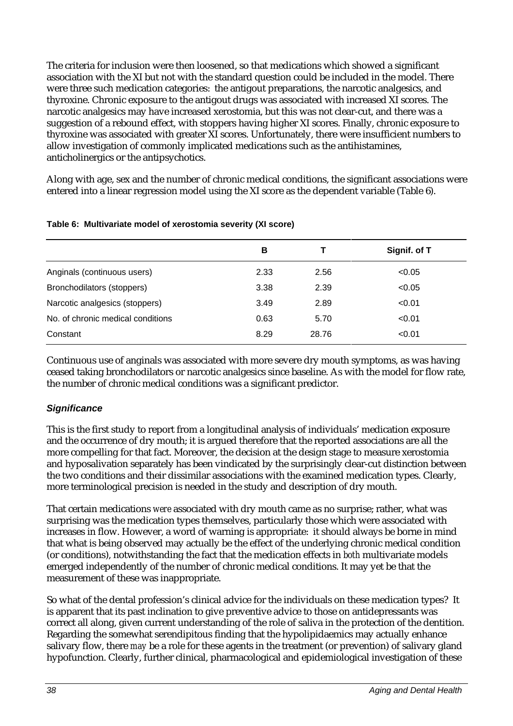The criteria for inclusion were then loosened, so that medications which showed a significant association with the XI but not with the standard question could be included in the model. There were three such medication categories: the antigout preparations, the narcotic analgesics, and thyroxine. Chronic exposure to the antigout drugs was associated with increased XI scores. The narcotic analgesics may have increased xerostomia, but this was not clear-cut, and there was a suggestion of a rebound effect, with stoppers having higher XI scores. Finally, chronic exposure to thyroxine was associated with greater XI scores. Unfortunately, there were insufficient numbers to allow investigation of commonly implicated medications such as the antihistamines, anticholinergics or the antipsychotics.

Along with age, sex and the number of chronic medical conditions, the significant associations were entered into a linear regression model using the XI score as the dependent variable (Table 6).

|                                   | В    |       | Signif. of T |
|-----------------------------------|------|-------|--------------|
| Anginals (continuous users)       | 2.33 | 2.56  | < 0.05       |
| Bronchodilators (stoppers)        | 3.38 | 2.39  | < 0.05       |
| Narcotic analgesics (stoppers)    | 3.49 | 2.89  | < 0.01       |
| No. of chronic medical conditions | 0.63 | 5.70  | < 0.01       |
| Constant                          | 8.29 | 28.76 | < 0.01       |
|                                   |      |       |              |

#### **Table 6: Multivariate model of xerostomia severity (XI score)**

Continuous use of anginals was associated with more severe dry mouth symptoms, as was having ceased taking bronchodilators or narcotic analgesics since baseline. As with the model for flow rate, the number of chronic medical conditions was a significant predictor.

# *Significance*

This is the first study to report from a longitudinal analysis of individuals' medication exposure and the occurrence of dry mouth; it is argued therefore that the reported associations are all the more compelling for that fact. Moreover, the decision at the design stage to measure xerostomia and hyposalivation separately has been vindicated by the surprisingly clear-cut distinction between the two conditions and their dissimilar associations with the examined medication types. Clearly, more terminological precision is needed in the study and description of dry mouth.

That certain medications *were* associated with dry mouth came as no surprise; rather, what was surprising was the medication types themselves, particularly those which were associated with increases in flow. However, a word of warning is appropriate: it should always be borne in mind that what is being observed may actually be the effect of the underlying chronic medical condition (or conditions), notwithstanding the fact that the medication effects in *both* multivariate models emerged independently of the number of chronic medical conditions. It may yet be that the measurement of these was inappropriate.

So what of the dental profession's clinical advice for the individuals on these medication types? It is apparent that its past inclination to give preventive advice to those on antidepressants was correct all along, given current understanding of the role of saliva in the protection of the dentition. Regarding the somewhat serendipitous finding that the hypolipidaemics may actually enhance salivary flow, there *may* be a role for these agents in the treatment (or prevention) of salivary gland hypofunction. Clearly, further clinical, pharmacological and epidemiological investigation of these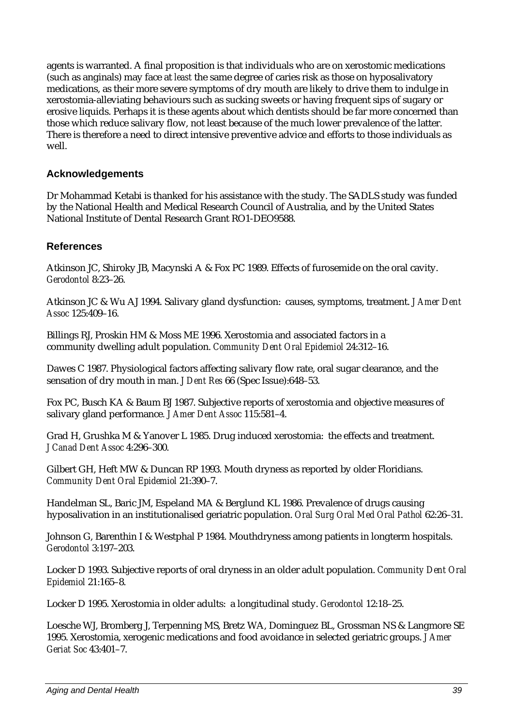agents is warranted. A final proposition is that individuals who are on xerostomic medications (such as anginals) may face at *least* the same degree of caries risk as those on hyposalivatory medications, as their more severe symptoms of dry mouth are likely to drive them to indulge in xerostomia-alleviating behaviours such as sucking sweets or having frequent sips of sugary or erosive liquids. Perhaps it is these agents about which dentists should be far more concerned than those which reduce salivary flow, not least because of the much lower prevalence of the latter. There is therefore a need to direct intensive preventive advice and efforts to those individuals as well.

# **Acknowledgements**

Dr Mohammad Ketabi is thanked for his assistance with the study. The SADLS study was funded by the National Health and Medical Research Council of Australia, and by the United States National Institute of Dental Research Grant RO1-DEO9588.

## **References**

Atkinson JC, Shiroky JB, Macynski A & Fox PC 1989. Effects of furosemide on the oral cavity. *Gerodontol* 8:23–26.

Atkinson JC & Wu AJ 1994. Salivary gland dysfunction: causes, symptoms, treatment. *J Amer Dent Assoc* 125:409–16.

Billings RJ, Proskin HM & Moss ME 1996. Xerostomia and associated factors in a community dwelling adult population. *Community Dent Oral Epidemiol* 24:312–16.

Dawes C 1987. Physiological factors affecting salivary flow rate, oral sugar clearance, and the sensation of dry mouth in man. *J Dent Res* 66 (Spec Issue):648–53.

Fox PC, Busch KA & Baum BJ 1987. Subjective reports of xerostomia and objective measures of salivary gland performance*. J Amer Dent Assoc* 115:581–4.

Grad H, Grushka M & Yanover L 1985. Drug induced xerostomia: the effects and treatment. *J Canad Dent Assoc* 4:296–300.

Gilbert GH, Heft MW & Duncan RP 1993. Mouth dryness as reported by older Floridians. *Community Dent Oral Epidemiol* 21:390–7.

Handelman SL, Baric JM, Espeland MA & Berglund KL 1986. Prevalence of drugs causing hyposalivation in an institutionalised geriatric population. *Oral Surg Oral Med Oral Pathol* 62:26–31.

Johnson G, Barenthin I & Westphal P 1984. Mouthdryness among patients in longterm hospitals. *Gerodontol* 3:197–203.

Locker D 1993. Subjective reports of oral dryness in an older adult population. *Community Dent Oral Epidemiol* 21:165–8.

Locker D 1995. Xerostomia in older adults: a longitudinal study. *Gerodontol* 12:18–25.

Loesche WJ, Bromberg J, Terpenning MS, Bretz WA, Dominguez BL, Grossman NS & Langmore SE 1995. Xerostomia, xerogenic medications and food avoidance in selected geriatric groups. *J Amer Geriat Soc* 43:401–7.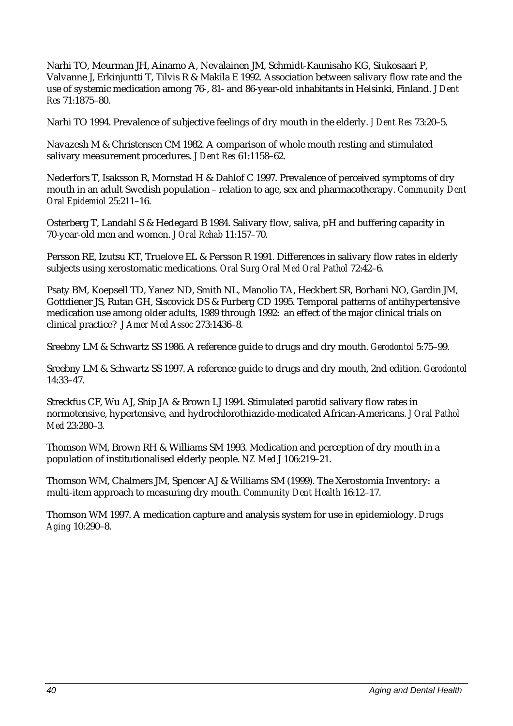Narhi TO, Meurman JH, Ainamo A, Nevalainen JM, Schmidt-Kaunisaho KG, Siukosaari P, Valvanne J, Erkinjuntti T, Tilvis R & Makila E 1992. Association between salivary flow rate and the use of systemic medication among 76-, 81- and 86-year-old inhabitants in Helsinki, Finland. *J Dent Res* 71:1875–80.

Narhi TO 1994. Prevalence of subjective feelings of dry mouth in the elderly. *J Dent Res* 73:20–5.

Navazesh M & Christensen CM 1982. A comparison of whole mouth resting and stimulated salivary measurement procedures. *J Dent Res* 61:1158–62.

Nederfors T, Isaksson R, Mornstad H & Dahlof C 1997. Prevalence of perceived symptoms of dry mouth in an adult Swedish population – relation to age, sex and pharmacotherapy. *Community Dent Oral Epidemiol* 25:211–16.

Osterberg T, Landahl S & Hedegard B 1984. Salivary flow, saliva, pH and buffering capacity in 70-year-old men and women. *J Oral Rehab* 11:157–70.

Persson RE, Izutsu KT, Truelove EL & Persson R 1991. Differences in salivary flow rates in elderly subjects using xerostomatic medications. *Oral Surg Oral Med Oral Pathol* 72:42–6.

Psaty BM, Koepsell TD, Yanez ND, Smith NL, Manolio TA, Heckbert SR, Borhani NO, Gardin JM, Gottdiener JS, Rutan GH, Siscovick DS & Furberg CD 1995. Temporal patterns of antihypertensive medication use among older adults, 1989 through 1992: an effect of the major clinical trials on clinical practice? *J Amer Med Assoc* 273:1436–8.

Sreebny LM & Schwartz SS 1986. A reference guide to drugs and dry mouth. *Gerodontol* 5:75–99.

Sreebny LM & Schwartz SS 1997. A reference guide to drugs and dry mouth, 2nd edition. *Gerodontol* 14:33–47.

Streckfus CF, Wu AJ, Ship JA & Brown LJ 1994. Stimulated parotid salivary flow rates in normotensive, hypertensive, and hydrochlorothiazide-medicated African-Americans. *J Oral Pathol Med* 23:280–3.

Thomson WM, Brown RH & Williams SM 1993. Medication and perception of dry mouth in a population of institutionalised elderly people. *NZ Med J* 106:219–21.

Thomson WM, Chalmers JM, Spencer AJ & Williams SM (1999). The Xerostomia Inventory: a multi-item approach to measuring dry mouth. *Community Dent Health* 16:12–17.

Thomson WM 1997. A medication capture and analysis system for use in epidemiology. *Drugs Aging* 10:290–8.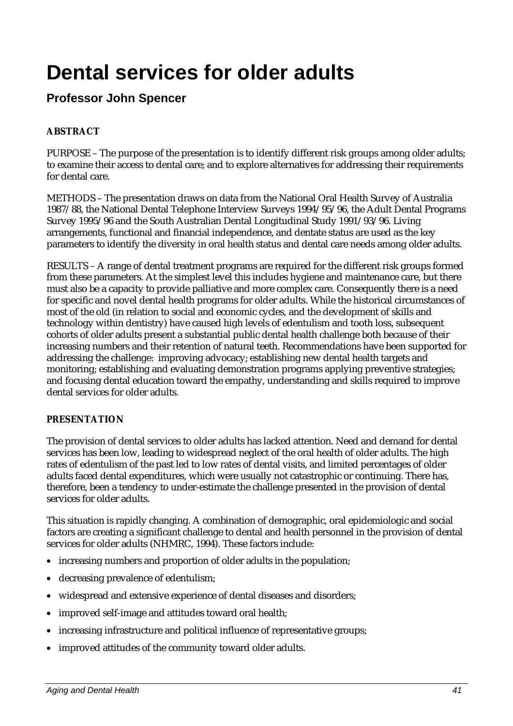# **Dental services for older adults**

# **Professor John Spencer**

# **ABSTRACT**

PURPOSE – The purpose of the presentation is to identify different risk groups among older adults; to examine their access to dental care; and to explore alternatives for addressing their requirements for dental care.

METHODS – The presentation draws on data from the National Oral Health Survey of Australia 1987/88, the National Dental Telephone Interview Surveys 1994/95/96, the Adult Dental Programs Survey 1995/96 and the South Australian Dental Longitudinal Study 1991/93/96. Living arrangements, functional and financial independence, and dentate status are used as the key parameters to identify the diversity in oral health status and dental care needs among older adults.

RESULTS – A range of dental treatment programs are required for the different risk groups formed from these parameters. At the simplest level this includes hygiene and maintenance care, but there must also be a capacity to provide palliative and more complex care. Consequently there is a need for specific and novel dental health programs for older adults. While the historical circumstances of most of the old (in relation to social and economic cycles, and the development of skills and technology within dentistry) have caused high levels of edentulism and tooth loss, subsequent cohorts of older adults present a substantial public dental health challenge both because of their increasing numbers and their retention of natural teeth. Recommendations have been supported for addressing the challenge: improving advocacy; establishing new dental health targets and monitoring; establishing and evaluating demonstration programs applying preventive strategies; and focusing dental education toward the empathy, understanding and skills required to improve dental services for older adults.

# **PRESENTATION**

The provision of dental services to older adults has lacked attention. Need and demand for dental services has been low, leading to widespread neglect of the oral health of older adults. The high rates of edentulism of the past led to low rates of dental visits, and limited percentages of older adults faced dental expenditures, which were usually not catastrophic or continuing. There has, therefore, been a tendency to under-estimate the challenge presented in the provision of dental services for older adults.

This situation is rapidly changing. A combination of demographic, oral epidemiologic and social factors are creating a significant challenge to dental and health personnel in the provision of dental services for older adults (NHMRC, 1994). These factors include:

- increasing numbers and proportion of older adults in the population;
- decreasing prevalence of edentulism;
- widespread and extensive experience of dental diseases and disorders;
- improved self-image and attitudes toward oral health;
- increasing infrastructure and political influence of representative groups;
- improved attitudes of the community toward older adults.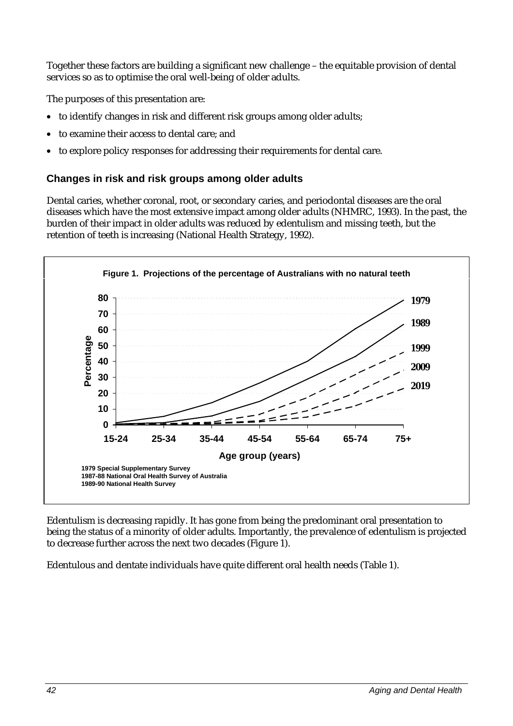Together these factors are building a significant new challenge – the equitable provision of dental services so as to optimise the oral well-being of older adults.

The purposes of this presentation are:

- to identify changes in risk and different risk groups among older adults;
- to examine their access to dental care; and
- to explore policy responses for addressing their requirements for dental care.

#### **Changes in risk and risk groups among older adults**

Dental caries, whether coronal, root, or secondary caries, and periodontal diseases are the oral diseases which have the most extensive impact among older adults (NHMRC, 1993). In the past, the burden of their impact in older adults was reduced by edentulism and missing teeth, but the retention of teeth is increasing (National Health Strategy, 1992).



Edentulism is decreasing rapidly. It has gone from being the predominant oral presentation to being the status of a minority of older adults. Importantly, the prevalence of edentulism is projected to decrease further across the next two decades (Figure 1).

Edentulous and dentate individuals have quite different oral health needs (Table 1).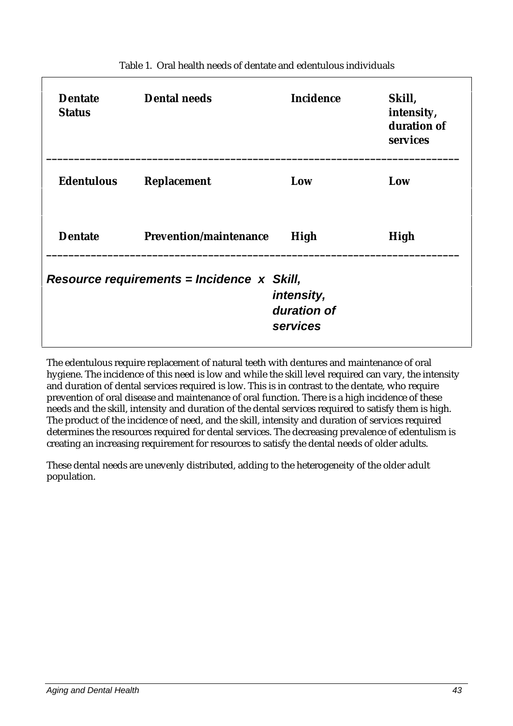| <b>Dentate</b><br><b>Status</b>                                                       | <b>Dental needs</b>           | <b>Incidence</b> | Skill,<br>intensity,<br>duration of<br>services |  |
|---------------------------------------------------------------------------------------|-------------------------------|------------------|-------------------------------------------------|--|
| <b>Edentulous</b>                                                                     | <b>Replacement</b>            | Low              | Low                                             |  |
| <b>Dentate</b>                                                                        | <b>Prevention/maintenance</b> | High             | High                                            |  |
| Resource requirements = Incidence $x$ Skill,<br>intensity,<br>duration of<br>services |                               |                  |                                                 |  |

#### Table 1. Oral health needs of dentate and edentulous individuals

The edentulous require replacement of natural teeth with dentures and maintenance of oral hygiene. The incidence of this need is low and while the skill level required can vary, the intensity and duration of dental services required is low. This is in contrast to the dentate, who require prevention of oral disease and maintenance of oral function. There is a high incidence of these needs and the skill, intensity and duration of the dental services required to satisfy them is high. The product of the incidence of need, and the skill, intensity and duration of services required determines the resources required for dental services. The decreasing prevalence of edentulism is creating an increasing requirement for resources to satisfy the dental needs of older adults.

These dental needs are unevenly distributed, adding to the heterogeneity of the older adult population.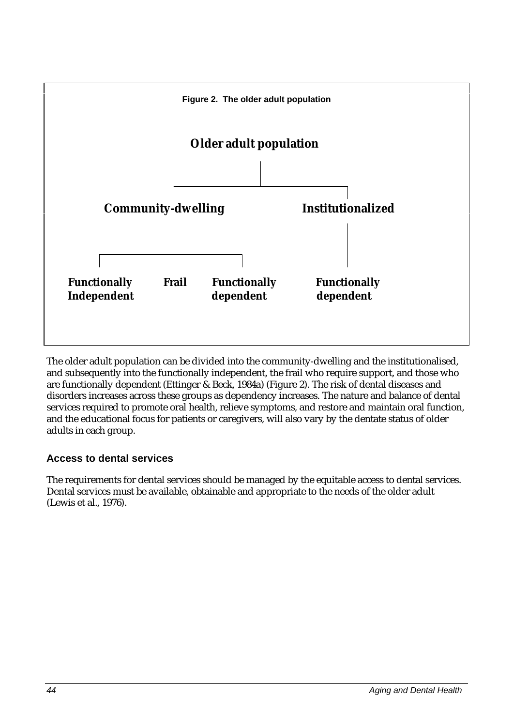

The older adult population can be divided into the community-dwelling and the institutionalised, and subsequently into the functionally independent, the frail who require support, and those who are functionally dependent (Ettinger & Beck, 1984a) (Figure 2). The risk of dental diseases and disorders increases across these groups as dependency increases. The nature and balance of dental services required to promote oral health, relieve symptoms, and restore and maintain oral function, and the educational focus for patients or caregivers, will also vary by the dentate status of older adults in each group.

# **Access to dental services**

The requirements for dental services should be managed by the equitable access to dental services. Dental services must be available, obtainable and appropriate to the needs of the older adult (Lewis et al., 1976).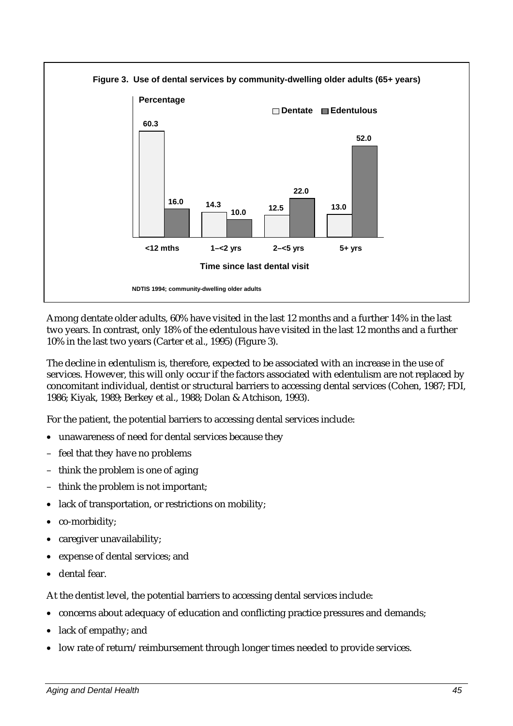

Among dentate older adults, 60% have visited in the last 12 months and a further 14% in the last two years. In contrast, only 18% of the edentulous have visited in the last 12 months and a further 10% in the last two years (Carter et al., 1995) (Figure 3).

The decline in edentulism is, therefore, expected to be associated with an increase in the use of services. However, this will only occur if the factors associated with edentulism are not replaced by concomitant individual, dentist or structural barriers to accessing dental services (Cohen, 1987; FDI, 1986; Kiyak, 1989; Berkey et al., 1988; Dolan & Atchison, 1993).

For the patient, the potential barriers to accessing dental services include:

- unawareness of need for dental services because they
- feel that they have no problems
- think the problem is one of aging
- think the problem is not important;
- lack of transportation, or restrictions on mobility;
- co-morbidity;
- caregiver unavailability;
- expense of dental services; and
- dental fear.

At the dentist level, the potential barriers to accessing dental services include:

- concerns about adequacy of education and conflicting practice pressures and demands;
- lack of empathy; and
- low rate of return/reimbursement through longer times needed to provide services.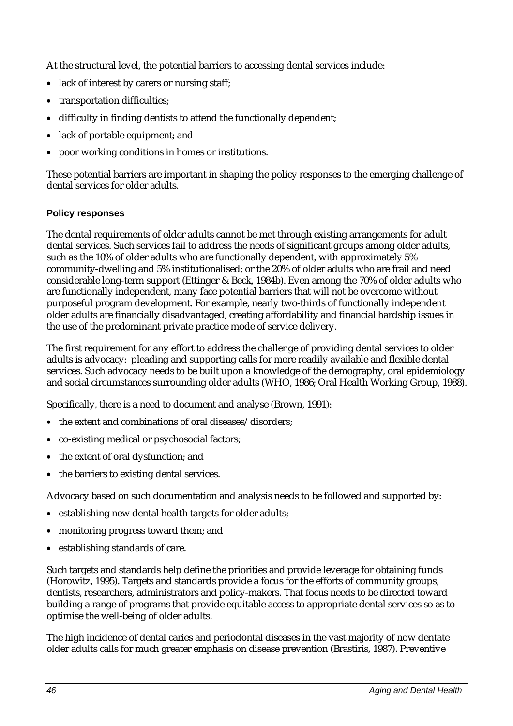At the structural level, the potential barriers to accessing dental services include:

- lack of interest by carers or nursing staff:
- transportation difficulties:
- difficulty in finding dentists to attend the functionally dependent;
- lack of portable equipment; and
- poor working conditions in homes or institutions.

These potential barriers are important in shaping the policy responses to the emerging challenge of dental services for older adults.

## **Policy responses**

The dental requirements of older adults cannot be met through existing arrangements for adult dental services. Such services fail to address the needs of significant groups among older adults, such as the 10% of older adults who are functionally dependent, with approximately 5% community-dwelling and 5% institutionalised; or the 20% of older adults who are frail and need considerable long-term support (Ettinger & Beck, 1984b). Even among the 70% of older adults who are functionally independent, many face potential barriers that will not be overcome without purposeful program development. For example, nearly two-thirds of functionally independent older adults are financially disadvantaged, creating affordability and financial hardship issues in the use of the predominant private practice mode of service delivery.

The first requirement for any effort to address the challenge of providing dental services to older adults is advocacy: pleading and supporting calls for more readily available and flexible dental services. Such advocacy needs to be built upon a knowledge of the demography, oral epidemiology and social circumstances surrounding older adults (WHO, 1986; Oral Health Working Group, 1988).

Specifically, there is a need to document and analyse (Brown, 1991):

- the extent and combinations of oral diseases/disorders:
- co-existing medical or psychosocial factors;
- the extent of oral dysfunction; and
- the barriers to existing dental services.

Advocacy based on such documentation and analysis needs to be followed and supported by:

- establishing new dental health targets for older adults;
- monitoring progress toward them; and
- establishing standards of care.

Such targets and standards help define the priorities and provide leverage for obtaining funds (Horowitz, 1995). Targets and standards provide a focus for the efforts of community groups, dentists, researchers, administrators and policy-makers. That focus needs to be directed toward building a range of programs that provide equitable access to appropriate dental services so as to optimise the well-being of older adults.

The high incidence of dental caries and periodontal diseases in the vast majority of now dentate older adults calls for much greater emphasis on disease prevention (Brastiris, 1987). Preventive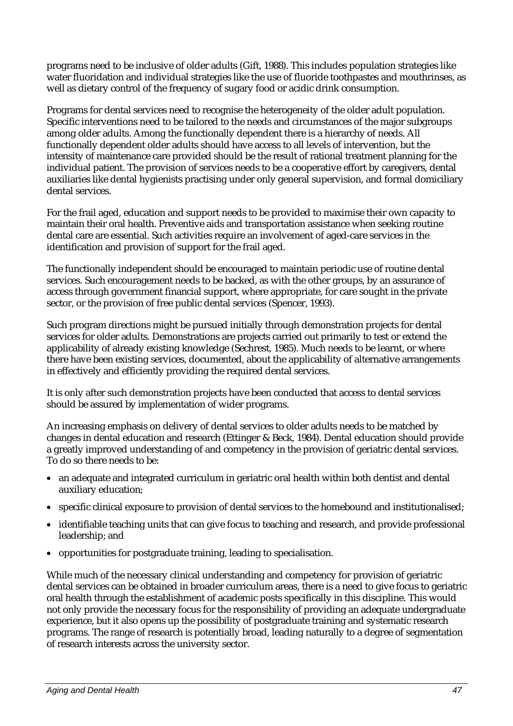programs need to be inclusive of older adults (Gift, 1988). This includes population strategies like water fluoridation and individual strategies like the use of fluoride toothpastes and mouthrinses, as well as dietary control of the frequency of sugary food or acidic drink consumption.

Programs for dental services need to recognise the heterogeneity of the older adult population. Specific interventions need to be tailored to the needs and circumstances of the major subgroups among older adults. Among the functionally dependent there is a hierarchy of needs. All functionally dependent older adults should have access to all levels of intervention, but the intensity of maintenance care provided should be the result of rational treatment planning for the individual patient. The provision of services needs to be a cooperative effort by caregivers, dental auxiliaries like dental hygienists practising under only general supervision, and formal domiciliary dental services.

For the frail aged, education and support needs to be provided to maximise their own capacity to maintain their oral health. Preventive aids and transportation assistance when seeking routine dental care are essential. Such activities require an involvement of aged-care services in the identification and provision of support for the frail aged.

The functionally independent should be encouraged to maintain periodic use of routine dental services. Such encouragement needs to be backed, as with the other groups, by an assurance of access through government financial support, where appropriate, for care sought in the private sector, or the provision of free public dental services (Spencer, 1993).

Such program directions might be pursued initially through demonstration projects for dental services for older adults. Demonstrations are projects carried out primarily to test or extend the applicability of already existing knowledge (Sechrest, 1985). Much needs to be learnt, or where there have been existing services, documented, about the applicability of alternative arrangements in effectively and efficiently providing the required dental services.

It is only after such demonstration projects have been conducted that access to dental services should be assured by implementation of wider programs.

An increasing emphasis on delivery of dental services to older adults needs to be matched by changes in dental education and research (Ettinger & Beck, 1984). Dental education should provide a greatly improved understanding of and competency in the provision of geriatric dental services. To do so there needs to be:

- an adequate and integrated curriculum in geriatric oral health within both dentist and dental auxiliary education;
- specific clinical exposure to provision of dental services to the homebound and institutionalised;
- identifiable teaching units that can give focus to teaching and research, and provide professional leadership; and
- opportunities for postgraduate training, leading to specialisation.

While much of the necessary clinical understanding and competency for provision of geriatric dental services can be obtained in broader curriculum areas, there is a need to give focus to geriatric oral health through the establishment of academic posts specifically in this discipline. This would not only provide the necessary focus for the responsibility of providing an adequate undergraduate experience, but it also opens up the possibility of postgraduate training and systematic research programs. The range of research is potentially broad, leading naturally to a degree of segmentation of research interests across the university sector.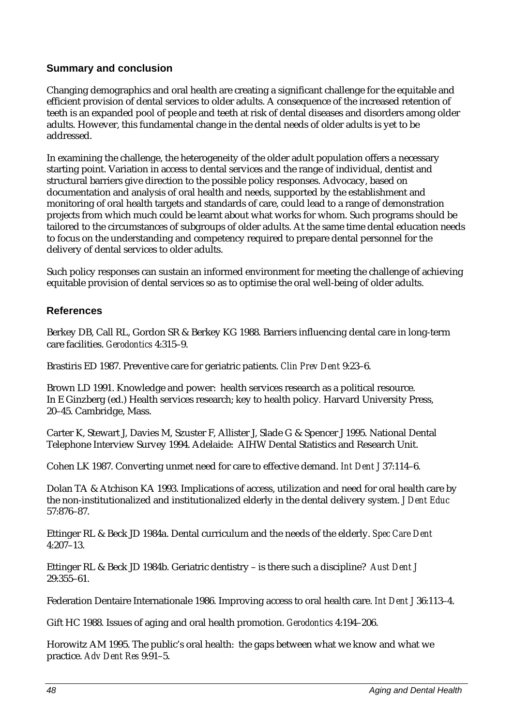# **Summary and conclusion**

Changing demographics and oral health are creating a significant challenge for the equitable and efficient provision of dental services to older adults. A consequence of the increased retention of teeth is an expanded pool of people and teeth at risk of dental diseases and disorders among older adults. However, this fundamental change in the dental needs of older adults is yet to be addressed.

In examining the challenge, the heterogeneity of the older adult population offers a necessary starting point. Variation in access to dental services and the range of individual, dentist and structural barriers give direction to the possible policy responses. Advocacy, based on documentation and analysis of oral health and needs, supported by the establishment and monitoring of oral health targets and standards of care, could lead to a range of demonstration projects from which much could be learnt about what works for whom. Such programs should be tailored to the circumstances of subgroups of older adults. At the same time dental education needs to focus on the understanding and competency required to prepare dental personnel for the delivery of dental services to older adults.

Such policy responses can sustain an informed environment for meeting the challenge of achieving equitable provision of dental services so as to optimise the oral well-being of older adults.

# **References**

Berkey DB, Call RL, Gordon SR & Berkey KG 1988. Barriers influencing dental care in long-term care facilities. *Gerodontics* 4:315–9.

Brastiris ED 1987. Preventive care for geriatric patients. *Clin Prev Dent* 9:23–6.

Brown LD 1991. Knowledge and power: health services research as a political resource. In E Ginzberg (ed.) Health services research; key to health policy*.* Harvard University Press, 20–45. Cambridge, Mass.

Carter K, Stewart J, Davies M, Szuster F, Allister J, Slade G & Spencer J 1995. National Dental Telephone Interview Survey 1994. Adelaide: AIHW Dental Statistics and Research Unit.

Cohen LK 1987. Converting unmet need for care to effective demand. *Int Dent J* 37:114–6.

Dolan TA & Atchison KA 1993. Implications of access, utilization and need for oral health care by the non-institutionalized and institutionalized elderly in the dental delivery system. *J Dent Educ* 57:876–87.

Ettinger RL & Beck JD 1984a. Dental curriculum and the needs of the elderly. *Spec Care Dent* 4:207–13.

Ettinger RL & Beck JD 1984b. Geriatric dentistry – is there such a discipline? *Aust Dent J* 29:355–61.

Federation Dentaire Internationale 1986. Improving access to oral health care. *Int Dent J* 36:113–4.

Gift HC 1988. Issues of aging and oral health promotion. *Gerodontics* 4:194–206.

Horowitz AM 1995. The public's oral health: the gaps between what we know and what we practice. *Adv Dent Res* 9:91–5.